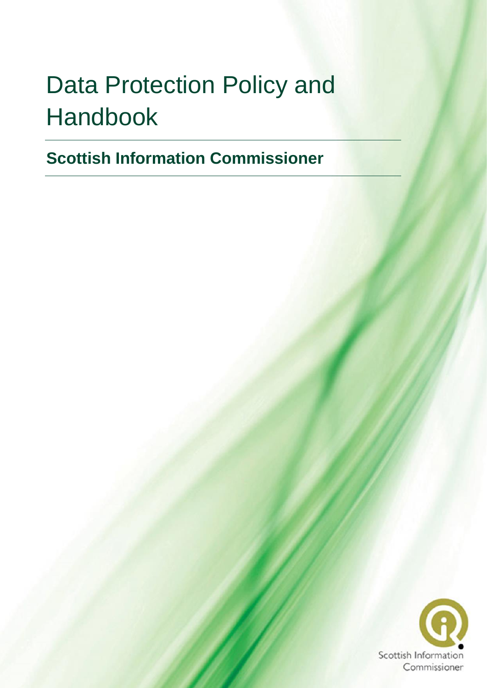# Data Protection Policy and Handbook

**Scottish Information Commissioner**

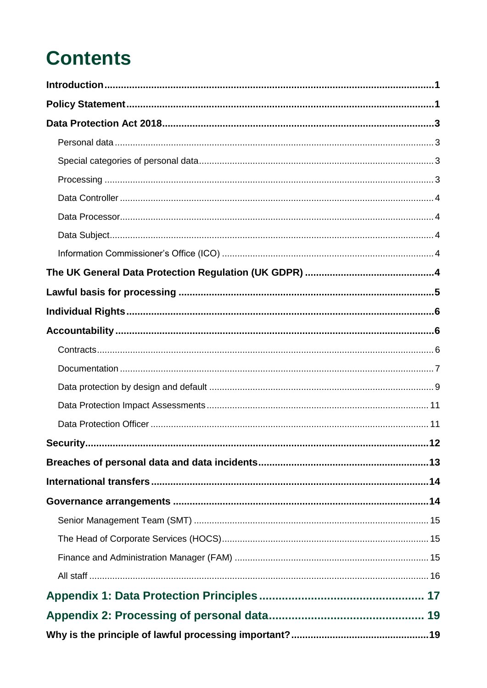## **Contents**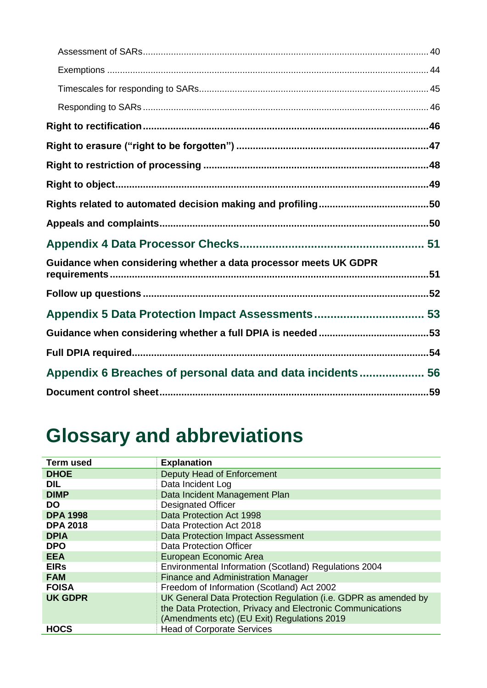| Guidance when considering whether a data processor meets UK GDPR |  |
|------------------------------------------------------------------|--|
|                                                                  |  |
|                                                                  |  |
|                                                                  |  |
|                                                                  |  |
| Appendix 6 Breaches of personal data and data incidents 56       |  |
|                                                                  |  |

## **Glossary and abbreviations**

| <b>Term used</b> | <b>Explanation</b>                                             |  |  |
|------------------|----------------------------------------------------------------|--|--|
| <b>DHOE</b>      | Deputy Head of Enforcement                                     |  |  |
| <b>DIL</b>       | Data Incident Log                                              |  |  |
| <b>DIMP</b>      | Data Incident Management Plan                                  |  |  |
| <b>DO</b>        | <b>Designated Officer</b>                                      |  |  |
| <b>DPA 1998</b>  | Data Protection Act 1998                                       |  |  |
| <b>DPA 2018</b>  | Data Protection Act 2018                                       |  |  |
| <b>DPIA</b>      | <b>Data Protection Impact Assessment</b>                       |  |  |
| <b>DPO</b>       | Data Protection Officer                                        |  |  |
| <b>EEA</b>       | European Economic Area                                         |  |  |
| <b>EIRs</b>      | Environmental Information (Scotland) Regulations 2004          |  |  |
| <b>FAM</b>       | <b>Finance and Administration Manager</b>                      |  |  |
| <b>FOISA</b>     | Freedom of Information (Scotland) Act 2002                     |  |  |
| <b>UK GDPR</b>   | UK General Data Protection Regulation (i.e. GDPR as amended by |  |  |
|                  | the Data Protection, Privacy and Electronic Communications     |  |  |
|                  | (Amendments etc) (EU Exit) Regulations 2019                    |  |  |
| <b>HOCS</b>      | <b>Head of Corporate Services</b>                              |  |  |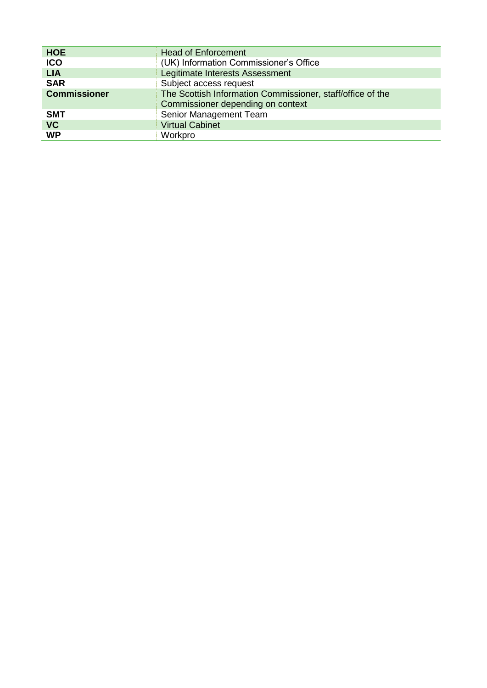| <b>HOE</b>          | <b>Head of Enforcement</b>                                 |  |  |
|---------------------|------------------------------------------------------------|--|--|
| <b>ICO</b>          | (UK) Information Commissioner's Office                     |  |  |
| <b>LIA</b>          | Legitimate Interests Assessment                            |  |  |
| <b>SAR</b>          | Subject access request                                     |  |  |
| <b>Commissioner</b> | The Scottish Information Commissioner, staff/office of the |  |  |
|                     | Commissioner depending on context                          |  |  |
| <b>SMT</b>          | Senior Management Team                                     |  |  |
| <b>VC</b>           | <b>Virtual Cabinet</b>                                     |  |  |
| <b>WP</b>           | Workpro                                                    |  |  |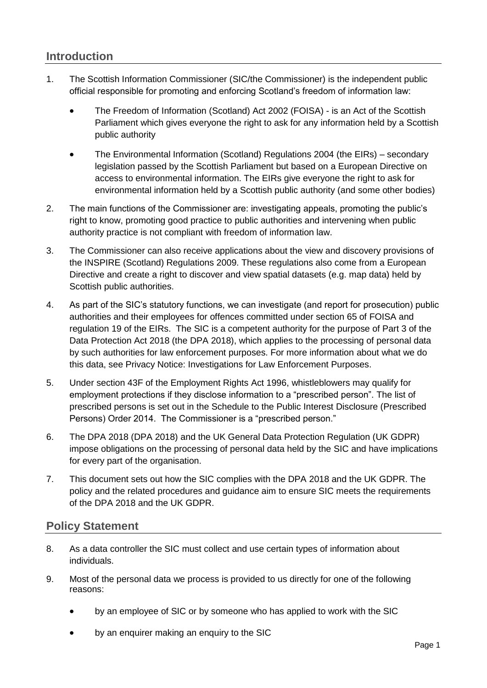## <span id="page-5-0"></span>**Introduction**

- 1. The Scottish Information Commissioner (SIC/the Commissioner) is the independent public official responsible for promoting and enforcing Scotland's freedom of information law:
	- The Freedom of Information (Scotland) Act 2002 (FOISA) is an Act of the Scottish Parliament which gives everyone the right to ask for any information held by a Scottish public authority
	- The Environmental Information (Scotland) Regulations 2004 (the EIRs) secondary legislation passed by the Scottish Parliament but based on a European Directive on access to environmental information. The EIRs give everyone the right to ask for environmental information held by a Scottish public authority (and some other bodies)
- 2. The main functions of the Commissioner are: investigating appeals, promoting the public's right to know, promoting good practice to public authorities and intervening when public authority practice is not compliant with freedom of information law.
- 3. The Commissioner can also receive applications about the view and discovery provisions of the INSPIRE (Scotland) Regulations 2009. These regulations also come from a European Directive and create a right to discover and view spatial datasets (e.g. map data) held by Scottish public authorities.
- 4. As part of the SIC's statutory functions, we can investigate (and report for prosecution) public authorities and their employees for offences committed under section 65 of FOISA and regulation 19 of the EIRs. The SIC is a competent authority for the purpose of Part 3 of the Data Protection Act 2018 (the DPA 2018), which applies to the processing of personal data by such authorities for law enforcement purposes. For more information about what we do this data, see [Privacy Notice: Investigations for Law Enforcement Purposes.](http://www.itspublicknowledge.info/nmsruntime/saveasdialog.aspx?lID=12578&sID=4362)
- 5. Under section 43F of [the Employment Rights Act 1996,](https://www.legislation.gov.uk/ukpga/1996/18/section/43F) whistleblowers may qualify for employment protections if they disclose information to a "prescribed person". The list of prescribed persons is set out in the Schedule to the Public Interest Disclosure (Prescribed Persons) Order 2014. The Commissioner is a "prescribed person."
- 6. The DPA 2018 (DPA 2018) and the UK General Data Protection Regulation (UK GDPR) impose obligations on the processing of personal data held by the SIC and have implications for every part of the organisation.
- 7. This document sets out how the SIC complies with the DPA 2018 and the UK GDPR. The policy and the related procedures and guidance aim to ensure SIC meets the requirements of the DPA 2018 and the UK GDPR.

## <span id="page-5-1"></span>**Policy Statement**

- 8. As a data controller the SIC must collect and use certain types of information about individuals.
- 9. Most of the personal data we process is provided to us directly for one of the following reasons:
	- by an employee of SIC or by someone who has applied to work with the SIC
	- by an enquirer making an enquiry to the SIC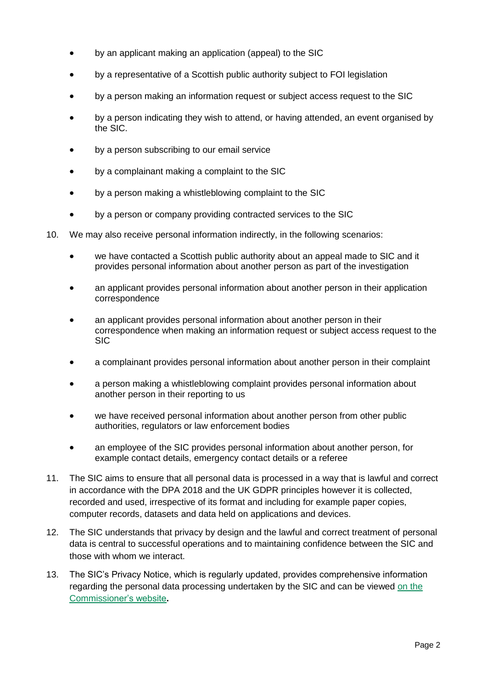- by an applicant making an application (appeal) to the SIC
- by a representative of a Scottish public authority subject to FOI legislation
- by a person making an information request or subject access request to the SIC
- by a person indicating they wish to attend, or having attended, an event organised by the SIC.
- by a person subscribing to our email service
- by a complainant making a complaint to the SIC
- by a person making a whistleblowing complaint to the SIC
- by a person or company providing contracted services to the SIC
- 10. We may also receive personal information indirectly, in the following scenarios:
	- we have contacted a Scottish public authority about an appeal made to SIC and it provides personal information about another person as part of the investigation
	- an applicant provides personal information about another person in their application correspondence
	- an applicant provides personal information about another person in their correspondence when making an information request or subject access request to the SIC
	- a complainant provides personal information about another person in their complaint
	- a person making a whistleblowing complaint provides personal information about another person in their reporting to us
	- we have received personal information about another person from other public authorities, regulators or law enforcement bodies
	- an employee of the SIC provides personal information about another person, for example contact details, emergency contact details or a referee
- 11. The SIC aims to ensure that all personal data is processed in a way that is lawful and correct in accordance with the DPA 2018 and the UK GDPR principles however it is collected, recorded and used, irrespective of its format and including for example paper copies, computer records, datasets and data held on applications and devices.
- 12. The SIC understands that privacy by design and the lawful and correct treatment of personal data is central to successful operations and to maintaining confidence between the SIC and those with whom we interact.
- 13. The SIC's Privacy Notice, which is regularly updated, provides comprehensive information regarding the personal data processing undertaken by the SIC and can be viewed [on the](https://www.itspublicknowledge.info/home/privacy.aspx)  [Commissioner's website](https://www.itspublicknowledge.info/home/privacy.aspx)**.**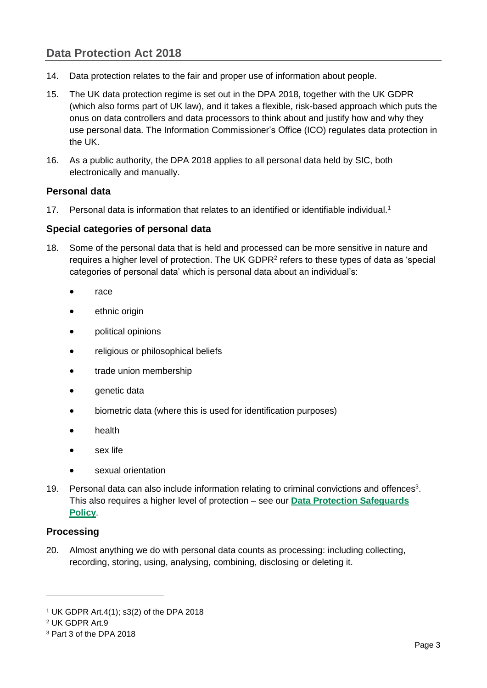## <span id="page-7-0"></span>**Data Protection Act 2018**

- 14. Data protection relates to the fair and proper use of information about people.
- 15. The UK data protection regime is set out in the DPA 2018, together with the UK GDPR (which also forms part of UK law), and it takes a flexible, risk-based approach which puts the onus on data controllers and data processors to think about and justify how and why they use personal data. The Information Commissioner's Office (ICO) regulates data protection in the UK.
- 16. As a public authority, the DPA 2018 applies to all personal data held by SIC, both electronically and manually.

### <span id="page-7-1"></span>**Personal data**

17. Personal data is information that relates to an identified or identifiable individual.<sup>1</sup>

### <span id="page-7-2"></span>**Special categories of personal data**

- 18. Some of the personal data that is held and processed can be more sensitive in nature and requires a higher level of protection. The UK GDPR<sup>2</sup> refers to these types of data as 'special categories of personal data' which is personal data about an individual's:
	- race
	- ethnic origin
	- political opinions
	- religious or philosophical beliefs
	- trade union membership
	- genetic data
	- biometric data (where this is used for identification purposes)
	- health
	- sex life
	- sexual orientation
- 19. Personal data can also include information relating to criminal convictions and offences<sup>3</sup>. This also requires a higher level of protection – see our **[Data Protection Safeguards](http://www.itspublicknowledge.info/nmsruntime/saveasdialog.aspx?lID=13169&sID=4362)  [Policy](http://www.itspublicknowledge.info/nmsruntime/saveasdialog.aspx?lID=13169&sID=4362)**.

### <span id="page-7-3"></span>**Processing**

20. Almost anything we do with personal data counts as processing: including collecting, recording, storing, using, analysing, combining, disclosing or deleting it.

<sup>1</sup> UK GDPR Art.4(1); s3(2) of the DPA 2018

<sup>2</sup> UK GDPR Art.9

<sup>3</sup> Part 3 of the DPA 2018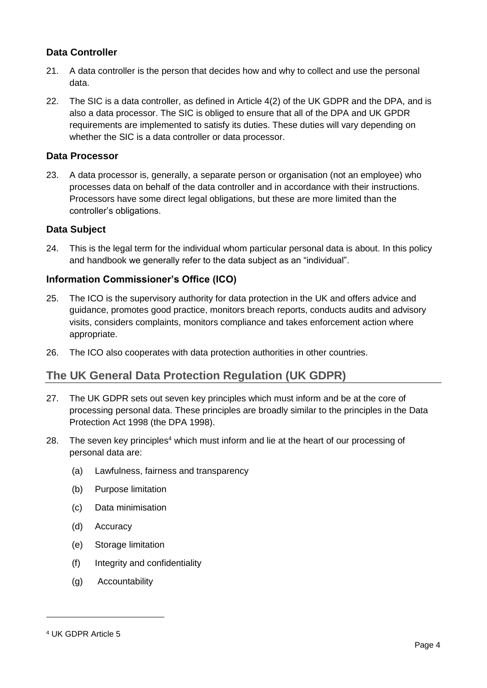### <span id="page-8-0"></span>**Data Controller**

- 21. A data controller is the person that decides how and why to collect and use the personal data.
- 22. The SIC is a data controller, as defined in Article 4(2) of the UK GDPR and the DPA, and is also a data processor. The SIC is obliged to ensure that all of the DPA and UK GPDR requirements are implemented to satisfy its duties. These duties will vary depending on whether the SIC is a data controller or data processor.

### <span id="page-8-1"></span>**Data Processor**

23. A data processor is, generally, a separate person or organisation (not an employee) who processes data on behalf of the data controller and in accordance with their instructions. Processors have some direct legal obligations, but these are more limited than the controller's obligations.

### <span id="page-8-2"></span>**Data Subject**

24. This is the legal term for the individual whom particular personal data is about. In this policy and handbook we generally refer to the data subject as an "individual".

### <span id="page-8-3"></span>**Information Commissioner's Office (ICO)**

- 25. The ICO is the supervisory authority for data protection in the UK and offers advice and guidance, promotes good practice, monitors breach reports, conducts audits and advisory visits, considers complaints, monitors compliance and takes enforcement action where appropriate.
- 26. The ICO also cooperates with data protection authorities in other countries.

## <span id="page-8-4"></span>**The UK General Data Protection Regulation (UK GDPR)**

- 27. The UK GDPR sets out seven key principles which must inform and be at the core of processing personal data. These principles are broadly similar to the principles in the Data Protection Act 1998 (the DPA 1998).
- 28. The seven key principles<sup>4</sup> which must inform and lie at the heart of our processing of personal data are:
	- (a) Lawfulness, fairness and transparency
	- (b) Purpose limitation
	- (c) Data minimisation
	- (d) Accuracy
	- (e) Storage limitation
	- (f) Integrity and confidentiality
	- (g) Accountability

<sup>4</sup> UK GDPR Article 5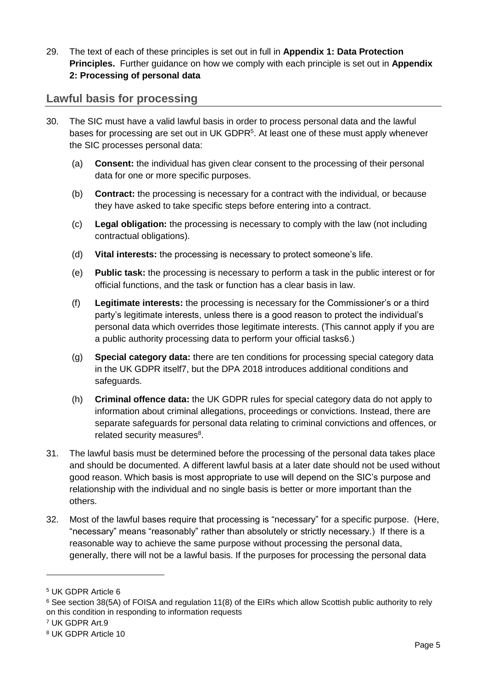29. The text of each of these principles is set out in full in **[Appendix 1: Data Protection](#page-21-0)  [Principles.](#page-21-0)** Further guidance on how we comply with each principle is set out in **[Appendix](#page-23-0)  [2: Processing of personal data](#page-23-0)**

## <span id="page-9-0"></span>**Lawful basis for processing**

- 30. The SIC must have a valid lawful basis in order to process personal data and the lawful bases for processing are set out in UK GDPR<sup>5</sup>. At least one of these must apply whenever the SIC processes personal data:
	- (a) **Consent:** the individual has given clear consent to the processing of their personal data for one or more specific purposes.
	- (b) **Contract:** the processing is necessary for a contract with the individual, or because they have asked to take specific steps before entering into a contract.
	- (c) **Legal obligation:** the processing is necessary to comply with the law (not including contractual obligations).
	- (d) **Vital interests:** the processing is necessary to protect someone's life.
	- (e) **Public task:** the processing is necessary to perform a task in the public interest or for official functions, and the task or function has a clear basis in law.
	- (f) **Legitimate interests:** the processing is necessary for the Commissioner's or a third party's legitimate interests, unless there is a good reason to protect the individual's personal data which overrides those legitimate interests. (This cannot apply if you are a public authority processing data to perform your official tasks6.)
	- (g) **Special category data:** there are ten conditions for processing special category data in the UK GDPR itself7, but the DPA 2018 introduces additional conditions and safeguards.
	- (h) **Criminal offence data:** the UK GDPR rules for special category data do not apply to information about criminal allegations, proceedings or convictions. Instead, there are separate safeguards for personal data relating to criminal convictions and offences, or related security measures<sup>8</sup>.
- 31. The lawful basis must be determined before the processing of the personal data takes place and should be documented. A different lawful basis at a later date should not be used without good reason. Which basis is most appropriate to use will depend on the SIC's purpose and relationship with the individual and no single basis is better or more important than the others.
- 32. Most of the lawful bases require that processing is "necessary" for a specific purpose. (Here, "necessary" means "reasonably" rather than absolutely or strictly necessary.) If there is a reasonable way to achieve the same purpose without processing the personal data, generally, there will not be a lawful basis. If the purposes for processing the personal data

<sup>5</sup> UK GDPR Article 6

<sup>6</sup> See section 38(5A) of FOISA and regulation 11(8) of the EIRs which allow Scottish public authority to rely on this condition in responding to information requests

<sup>7</sup> UK GDPR Art.9

<sup>8</sup> UK GDPR Article 10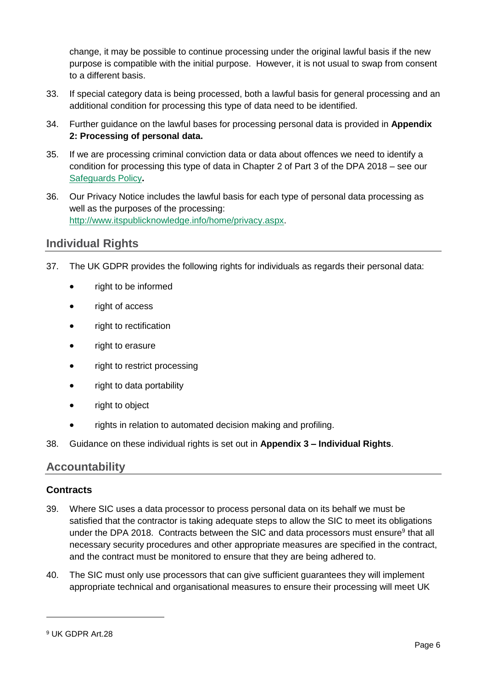change, it may be possible to continue processing under the original lawful basis if the new purpose is compatible with the initial purpose. However, it is not usual to swap from consent to a different basis.

- 33. If special category data is being processed, both a lawful basis for general processing and an additional condition for processing this type of data need to be identified.
- 34. Further guidance on the lawful bases for processing personal data is provided in **[Appendix](#page-23-0)  [2: Processing of personal data.](#page-23-0)**
- 35. If we are processing criminal conviction data or data about offences we need to identify a condition for processing this type of data in Chapter 2 of Part 3 of the DPA 2018 – see our [Safeguards Policy](http://www.itspublicknowledge.info/nmsruntime/saveasdialog.aspx?lID=13169&sID=4362)**.**
- 36. Our Privacy Notice includes the lawful basis for each type of personal data processing as well as the purposes of the processing: [http://www.itspublicknowledge.info/home/privacy.aspx.](http://www.itspublicknowledge.info/home/privacy.aspx)

## <span id="page-10-0"></span>**Individual Rights**

- 37. The UK GDPR provides the following rights for individuals as regards their personal data:
	- right to be informed
	- right of access
	- right to rectification
	- right to erasure
	- right to restrict processing
	- right to data portability
	- right to object
	- rights in relation to automated decision making and profiling.
- 38. Guidance on these individual rights is set out in **Appendix 3 – [Individual Rights](#page-39-0)**.

## <span id="page-10-1"></span>**Accountability**

### <span id="page-10-2"></span>**Contracts**

- <span id="page-10-3"></span>39. Where SIC uses a data processor to process personal data on its behalf we must be satisfied that the contractor is taking adequate steps to allow the SIC to meet its obligations under the DPA 2018. Contracts between the SIC and data processors must ensure<sup>9</sup> that all necessary security procedures and other appropriate measures are specified in the contract, and the contract must be monitored to ensure that they are being adhered to.
- 40. The SIC must only use processors that can give sufficient guarantees they will implement appropriate technical and organisational measures to ensure their processing will meet UK

<sup>9</sup> UK GDPR Art.28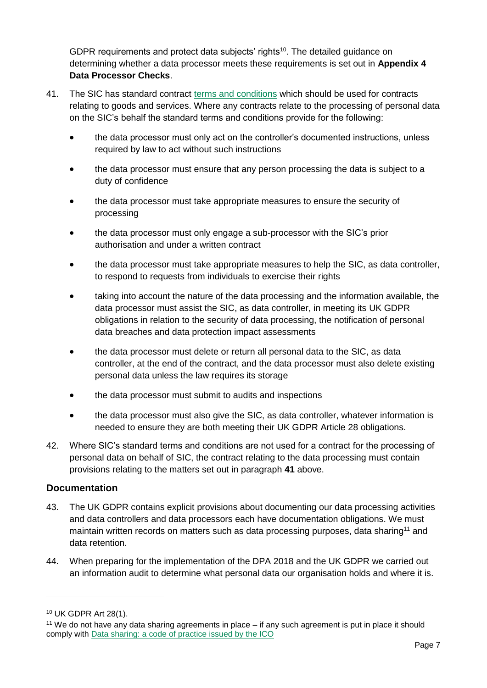GDPR requirements and protect data subjects' rights<sup>10</sup>. The detailed guidance on determining whether a data processor meets these requirements is set out in **[Appendix 4](#page-55-0)  Data [Processor Checks](#page-55-0)**.

- 41. The SIC has standard contract [terms and conditions](https://www.itspublicknowledge.info/home/WorkingwiththeCommissioner/Contractsprocurement.aspx) which should be used for contracts relating to goods and services. Where any contracts relate to the processing of personal data on the SIC's behalf the standard terms and conditions provide for the following:
	- the data processor must only act on the controller's documented instructions, unless required by law to act without such instructions
	- the data processor must ensure that any person processing the data is subject to a duty of confidence
	- the data processor must take appropriate measures to ensure the security of processing
	- the data processor must only engage a sub-processor with the SIC's prior authorisation and under a written contract
	- the data processor must take appropriate measures to help the SIC, as data controller, to respond to requests from individuals to exercise their rights
	- taking into account the nature of the data processing and the information available, the data processor must assist the SIC, as data controller, in meeting its UK GDPR obligations in relation to the security of data processing, the notification of personal data breaches and data protection impact assessments
	- the data processor must delete or return all personal data to the SIC, as data controller, at the end of the contract, and the data processor must also delete existing personal data unless the law requires its storage
	- the data processor must submit to audits and inspections
	- the data processor must also give the SIC, as data controller, whatever information is needed to ensure they are both meeting their UK GDPR Article 28 obligations.
- <span id="page-11-1"></span>42. Where SIC's standard terms and conditions are not used for a contract for the processing of personal data on behalf of SIC, the contract relating to the data processing must contain provisions relating to the matters set out in paragraph **41** above.

### <span id="page-11-0"></span>**Documentation**

- 43. The UK GDPR contains explicit provisions about documenting our data processing activities and data controllers and data processors each have documentation obligations. We must maintain written records on matters such as data processing purposes, data sharing<sup>11</sup> and data retention.
- 44. When preparing for the implementation of the DPA 2018 and the UK GDPR we carried out an information audit to determine what personal data our organisation holds and where it is.

<sup>10</sup> UK GDPR Art 28(1).

<sup>11</sup> We do not have any data sharing agreements in place – if any such agreement is put in place it should comply with [Data sharing: a code of practice issued by the ICO](https://ico.org.uk/for-organisations/data-sharing-a-code-of-practice/)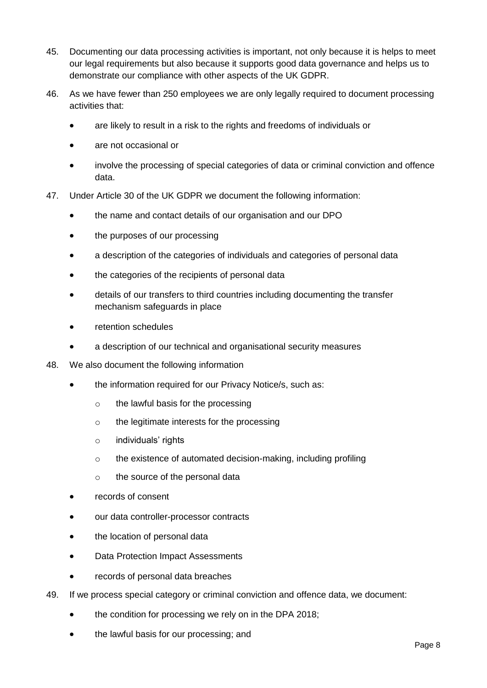- 45. Documenting our data processing activities is important, not only because it is helps to meet our legal requirements but also because it supports good data governance and helps us to demonstrate our compliance with other aspects of the UK GDPR.
- 46. As we have fewer than 250 employees we are only legally required to document processing activities that:
	- are likely to result in a risk to the rights and freedoms of individuals or
	- are not occasional or
	- involve the processing of special categories of data or criminal conviction and offence data.
- 47. Under Article 30 of the UK GDPR we document the following information:
	- the name and contact details of our organisation and our DPO
	- the purposes of our processing
	- a description of the categories of individuals and categories of personal data
	- the categories of the recipients of personal data
	- details of our transfers to third countries including documenting the transfer mechanism safeguards in place
	- retention schedules
	- a description of our technical and organisational security measures
- 48. We also document the following information
	- the information required for our Privacy Notice/s, such as:
		- o the lawful basis for the processing
		- o the legitimate interests for the processing
		- o individuals' rights
		- o the existence of automated decision-making, including profiling
		- o the source of the personal data
	- records of consent
	- our data controller-processor contracts
	- the location of personal data
	- Data Protection Impact Assessments
	- records of personal data breaches
- 49. If we process special category or criminal conviction and offence data, we document:
	- the condition for processing we rely on in the DPA 2018;
	- the lawful basis for our processing; and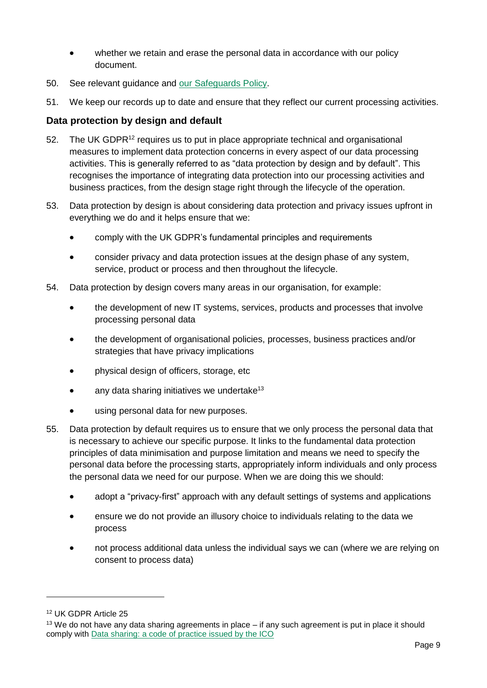- whether we retain and erase the personal data in accordance with our policy document.
- 50. See relevant guidance and our [Safeguards Policy.](http://www.itspublicknowledge.info/nmsruntime/saveasdialog.aspx?lID=13169&sID=4362)
- 51. We keep our records up to date and ensure that they reflect our current processing activities.

## <span id="page-13-0"></span>**Data protection by design and default**

- 52. The UK GDPR<sup>12</sup> requires us to put in place appropriate technical and organisational measures to implement data protection concerns in every aspect of our data processing activities. This is generally referred to as "data protection by design and by default". This recognises the importance of integrating data protection into our processing activities and business practices, from the design stage right through the lifecycle of the operation.
- 53. Data protection by design is about considering data protection and privacy issues upfront in everything we do and it helps ensure that we:
	- comply with the UK GDPR's fundamental principles and requirements
	- consider privacy and data protection issues at the design phase of any system, service, product or process and then throughout the lifecycle.
- 54. Data protection by design covers many areas in our organisation, for example:
	- the development of new IT systems, services, products and processes that involve processing personal data
	- the development of organisational policies, processes, business practices and/or strategies that have privacy implications
	- physical design of officers, storage, etc
	- $\bullet$  any data sharing initiatives we undertake<sup>13</sup>
	- using personal data for new purposes.
- 55. Data protection by default requires us to ensure that we only process the personal data that is necessary to achieve our specific purpose. It links to the fundamental data protection principles of data minimisation and purpose limitation and means we need to specify the personal data before the processing starts, appropriately inform individuals and only process the personal data we need for our purpose. When we are doing this we should:
	- adopt a "privacy-first" approach with any default settings of systems and applications
	- ensure we do not provide an illusory choice to individuals relating to the data we process
	- not process additional data unless the individual says we can (where we are relying on consent to process data)

<sup>12</sup> UK GDPR Article 25

<sup>&</sup>lt;sup>13</sup> We do not have any data sharing agreements in place – if any such agreement is put in place it should comply with [Data sharing: a code of practice issued by the ICO](https://ico.org.uk/for-organisations/data-sharing-a-code-of-practice/)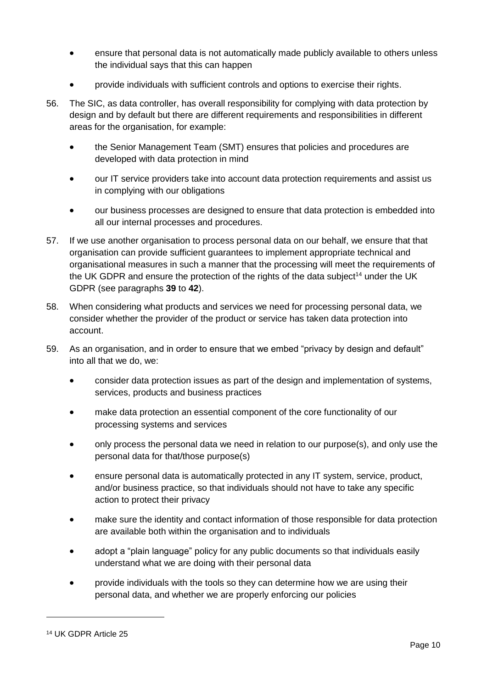- ensure that personal data is not automatically made publicly available to others unless the individual says that this can happen
- provide individuals with sufficient controls and options to exercise their rights.
- 56. The SIC, as data controller, has overall responsibility for complying with data protection by design and by default but there are different requirements and responsibilities in different areas for the organisation, for example:
	- the Senior Management Team (SMT) ensures that policies and procedures are developed with data protection in mind
	- our IT service providers take into account data protection requirements and assist us in complying with our obligations
	- our business processes are designed to ensure that data protection is embedded into all our internal processes and procedures.
- 57. If we use another organisation to process personal data on our behalf, we ensure that that organisation can provide sufficient guarantees to implement appropriate technical and organisational measures in such a manner that the processing will meet the requirements of the UK GDPR and ensure the protection of the rights of the data subject<sup>14</sup> under the UK GDPR (see paragraphs **[39](#page-10-3)** to **[42](#page-11-1)**).
- 58. When considering what products and services we need for processing personal data, we consider whether the provider of the product or service has taken data protection into account.
- 59. As an organisation, and in order to ensure that we embed "privacy by design and default" into all that we do, we:
	- consider data protection issues as part of the design and implementation of systems, services, products and business practices
	- make data protection an essential component of the core functionality of our processing systems and services
	- only process the personal data we need in relation to our purpose(s), and only use the personal data for that/those purpose(s)
	- ensure personal data is automatically protected in any IT system, service, product, and/or business practice, so that individuals should not have to take any specific action to protect their privacy
	- make sure the identity and contact information of those responsible for data protection are available both within the organisation and to individuals
	- adopt a "plain language" policy for any public documents so that individuals easily understand what we are doing with their personal data
	- provide individuals with the tools so they can determine how we are using their personal data, and whether we are properly enforcing our policies

<sup>14</sup> UK GDPR Article 25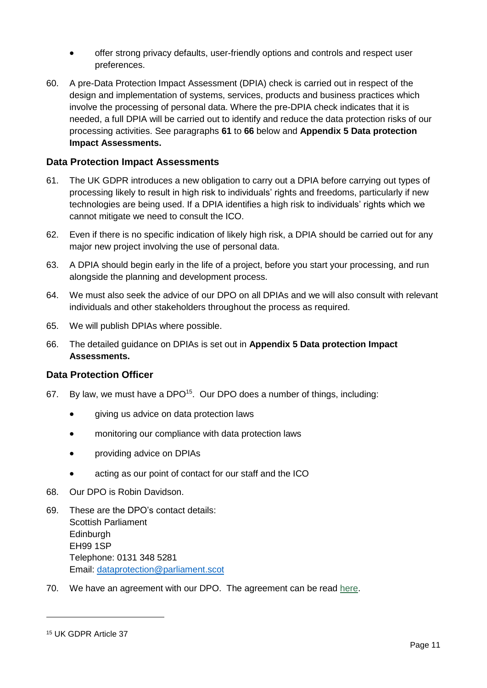- offer strong privacy defaults, user-friendly options and controls and respect user preferences.
- 60. A pre-Data Protection Impact Assessment (DPIA) check is carried out in respect of the design and implementation of systems, services, products and business practices which involve the processing of personal data. Where the pre-DPIA check indicates that it is needed, a full DPIA will be carried out to identify and reduce the data protection risks of our processing activities. See paragraphs **61** to **66** below and **Appendix 5 [Data protection](#page-57-0)  [Impact Assessments.](#page-57-0)**

### <span id="page-15-0"></span>**Data Protection Impact Assessments**

- 61. The UK GDPR introduces a new obligation to carry out a DPIA before carrying out types of processing likely to result in high risk to individuals' rights and freedoms, particularly if new technologies are being used. If a DPIA identifies a high risk to individuals' rights which we cannot mitigate we need to consult the ICO.
- 62. Even if there is no specific indication of likely high risk, a DPIA should be carried out for any major new project involving the use of personal data.
- 63. A DPIA should begin early in the life of a project, before you start your processing, and run alongside the planning and development process.
- 64. We must also seek the advice of our DPO on all DPIAs and we will also consult with relevant individuals and other stakeholders throughout the process as required.
- 65. We will publish DPIAs where possible.
- 66. The detailed guidance on DPIAs is set out in **[Appendix 5 Data protection Impact](#page-57-0)  [Assessments.](#page-57-0)**

### <span id="page-15-1"></span>**Data Protection Officer**

- 67. By law, we must have a DPO<sup>15</sup>. Our DPO does a number of things, including:
	- giving us advice on data protection laws
	- monitoring our compliance with data protection laws
	- providing advice on DPIAs
	- acting as our point of contact for our staff and the ICO
- 68. Our DPO is Robin Davidson.
- 69. These are the DPO's contact details: Scottish Parliament **Edinburgh** EH99 1SP Telephone: 0131 348 5281 Email: [dataprotection@parliament.scot](mailto:dataprotection@parliament.scot)
- 70. We have an agreement with our DPO. The agreement can be read [here.](http://www.itspublicknowledge.info/nmsruntime/saveasdialog.aspx?lID=11730&sID=2758)

<sup>15</sup> UK GDPR Article 37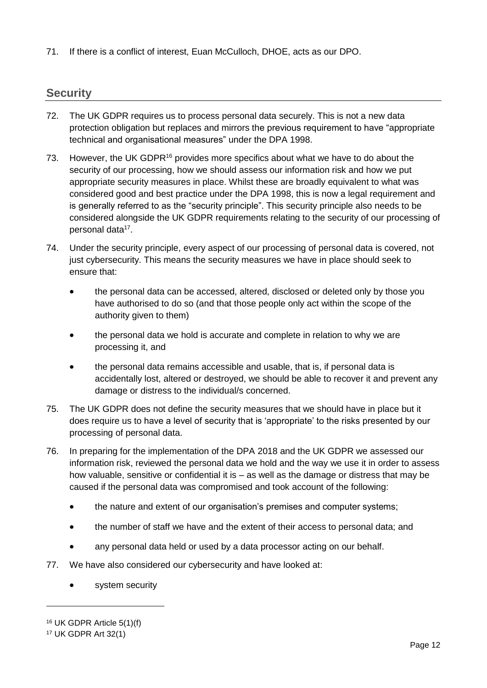71. If there is a conflict of interest, Euan McCulloch, DHOE, acts as our DPO.

## <span id="page-16-0"></span>**Security**

- 72. The UK GDPR requires us to process personal data securely. This is not a new data protection obligation but replaces and mirrors the previous requirement to have "appropriate technical and organisational measures" under the DPA 1998.
- 73. However, the UK GDPR<sup>16</sup> provides more specifics about what we have to do about the security of our processing, how we should assess our information risk and how we put appropriate security measures in place. Whilst these are broadly equivalent to what was considered good and best practice under the DPA 1998, this is now a legal requirement and is generally referred to as the "security principle". This security principle also needs to be considered alongside the UK GDPR requirements relating to the security of our processing of personal data<sup>17</sup>.
- 74. Under the security principle, every aspect of our processing of personal data is covered, not just cybersecurity. This means the security measures we have in place should seek to ensure that:
	- the personal data can be accessed, altered, disclosed or deleted only by those you have authorised to do so (and that those people only act within the scope of the authority given to them)
	- the personal data we hold is accurate and complete in relation to why we are processing it, and
	- the personal data remains accessible and usable, that is, if personal data is accidentally lost, altered or destroyed, we should be able to recover it and prevent any damage or distress to the individual/s concerned.
- 75. The UK GDPR does not define the security measures that we should have in place but it does require us to have a level of security that is 'appropriate' to the risks presented by our processing of personal data.
- 76. In preparing for the implementation of the DPA 2018 and the UK GDPR we assessed our information risk, reviewed the personal data we hold and the way we use it in order to assess how valuable, sensitive or confidential it is – as well as the damage or distress that may be caused if the personal data was compromised and took account of the following:
	- the nature and extent of our organisation's premises and computer systems:
	- the number of staff we have and the extent of their access to personal data; and
	- any personal data held or used by a data processor acting on our behalf.
- 77. We have also considered our cybersecurity and have looked at:
	- system security

<sup>16</sup> UK GDPR Article 5(1)(f)

<sup>17</sup> UK GDPR Art 32(1)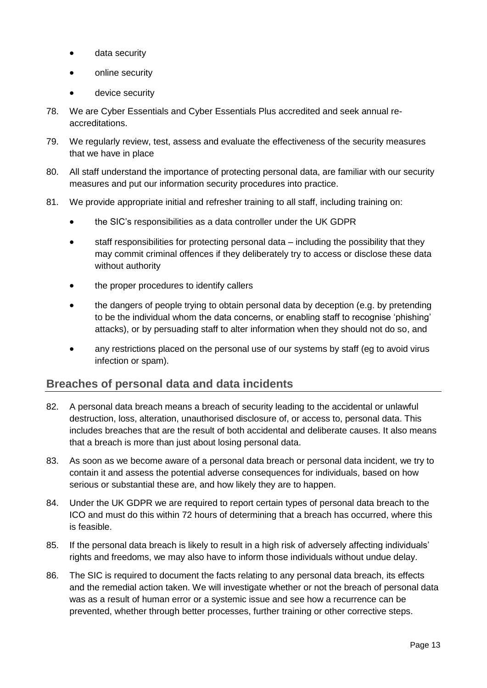- data security
- online security
- device security
- 78. We are Cyber Essentials and Cyber Essentials Plus accredited and seek annual reaccreditations.
- 79. We regularly review, test, assess and evaluate the effectiveness of the security measures that we have in place
- 80. All staff understand the importance of protecting personal data, are familiar with our security measures and put our information security procedures into practice.
- 81. We provide appropriate initial and refresher training to all staff, including training on:
	- the SIC's responsibilities as a data controller under the UK GDPR
	- staff responsibilities for protecting personal data including the possibility that they may commit criminal offences if they deliberately try to access or disclose these data without authority
	- the proper procedures to identify callers
	- the dangers of people trying to obtain personal data by deception (e.g. by pretending to be the individual whom the data concerns, or enabling staff to recognise 'phishing' attacks), or by persuading staff to alter information when they should not do so, and
	- any restrictions placed on the personal use of our systems by staff (eg to avoid virus infection or spam).

## <span id="page-17-0"></span>**Breaches of personal data and data incidents**

- 82. A personal data breach means a breach of security leading to the accidental or unlawful destruction, loss, alteration, unauthorised disclosure of, or access to, personal data. This includes breaches that are the result of both accidental and deliberate causes. It also means that a breach is more than just about losing personal data.
- 83. As soon as we become aware of a personal data breach or personal data incident, we try to contain it and assess the potential adverse consequences for individuals, based on how serious or substantial these are, and how likely they are to happen.
- 84. Under the UK GDPR we are required to report certain types of personal data breach to the ICO and must do this within 72 hours of determining that a breach has occurred, where this is feasible.
- 85. If the personal data breach is likely to result in a high risk of adversely affecting individuals' rights and freedoms, we may also have to inform those individuals without undue delay.
- 86. The SIC is required to document the facts relating to any personal data breach, its effects and the remedial action taken. We will investigate whether or not the breach of personal data was as a result of human error or a systemic issue and see how a recurrence can be prevented, whether through better processes, further training or other corrective steps.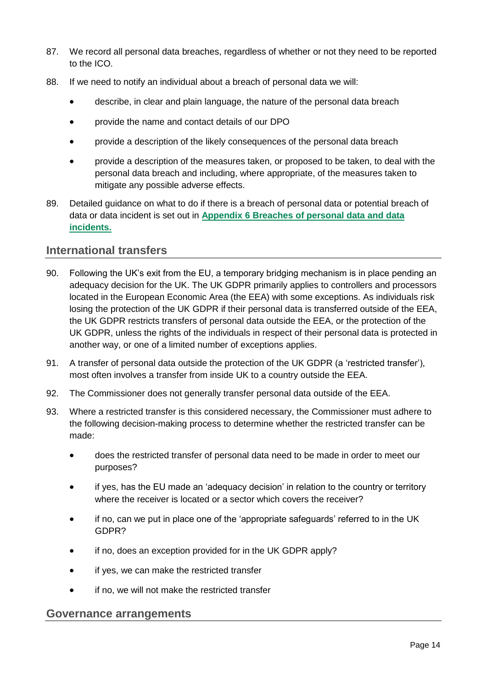- 87. We record all personal data breaches, regardless of whether or not they need to be reported to the ICO.
- 88. If we need to notify an individual about a breach of personal data we will:
	- describe, in clear and plain language, the nature of the personal data breach
	- provide the name and contact details of our DPO
	- provide a description of the likely consequences of the personal data breach
	- provide a description of the measures taken, or proposed to be taken, to deal with the personal data breach and including, where appropriate, of the measures taken to mitigate any possible adverse effects.
- 89. Detailed guidance on what to do if there is a breach of personal data or potential breach of data or data incident is set out in **Appendix 6 [Breaches of personal data and data](#page-60-0)  [incidents.](#page-60-0)**

## <span id="page-18-0"></span>**International transfers**

- 90. Following the UK's exit from the EU, a temporary bridging mechanism is in place pending an adequacy decision for the UK. The UK GDPR primarily applies to controllers and processors located in the European Economic Area (the EEA) with some exceptions. As individuals risk losing the protection of the UK GDPR if their personal data is transferred outside of the EEA, the UK GDPR restricts transfers of personal data outside the EEA, or the protection of the UK GDPR, unless the rights of the individuals in respect of their personal data is protected in another way, or one of a limited number of exceptions applies.
- 91. A transfer of personal data outside the protection of the UK GDPR (a 'restricted transfer'), most often involves a transfer from inside UK to a country outside the EEA.
- 92. The Commissioner does not generally transfer personal data outside of the EEA.
- 93. Where a restricted transfer is this considered necessary, the Commissioner must adhere to the following decision-making process to determine whether the restricted transfer can be made:
	- does the restricted transfer of personal data need to be made in order to meet our purposes?
	- if yes, has the EU made an 'adequacy decision' in relation to the country or territory where the receiver is located or a sector which covers the receiver?
	- if no, can we put in place one of the 'appropriate safeguards' referred to in the UK GDPR?
	- if no, does an exception provided for in the UK GDPR apply?
	- if yes, we can make the restricted transfer
	- if no, we will not make the restricted transfer

### <span id="page-18-1"></span>**Governance arrangements**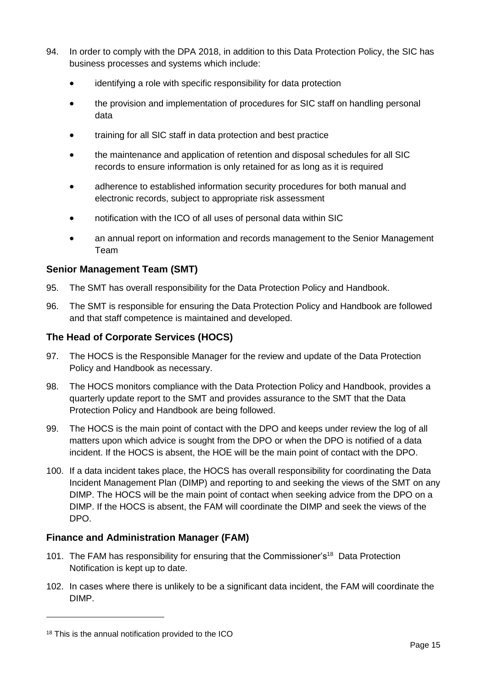- 94. In order to comply with the DPA 2018, in addition to this Data Protection Policy, the SIC has business processes and systems which include:
	- identifying a role with specific responsibility for data protection
	- the provision and implementation of procedures for SIC staff on handling personal data
	- training for all SIC staff in data protection and best practice
	- the maintenance and application of retention and disposal schedules for all SIC records to ensure information is only retained for as long as it is required
	- adherence to established information security procedures for both manual and electronic records, subject to appropriate risk assessment
	- notification with the ICO of all uses of personal data within SIC
	- an annual report on information and records management to the Senior Management Team

### <span id="page-19-0"></span>**Senior Management Team (SMT)**

- 95. The SMT has overall responsibility for the Data Protection Policy and Handbook.
- 96. The SMT is responsible for ensuring the Data Protection Policy and Handbook are followed and that staff competence is maintained and developed.

### <span id="page-19-1"></span>**The Head of Corporate Services (HOCS)**

- 97. The HOCS is the Responsible Manager for the review and update of the Data Protection Policy and Handbook as necessary.
- 98. The HOCS monitors compliance with the Data Protection Policy and Handbook, provides a quarterly update report to the SMT and provides assurance to the SMT that the Data Protection Policy and Handbook are being followed.
- 99. The HOCS is the main point of contact with the DPO and keeps under review the log of all matters upon which advice is sought from the DPO or when the DPO is notified of a data incident. If the HOCS is absent, the HOE will be the main point of contact with the DPO.
- 100. If a data incident takes place, the HOCS has overall responsibility for coordinating the Data Incident Management Plan (DIMP) and reporting to and seeking the views of the SMT on any DIMP. The HOCS will be the main point of contact when seeking advice from the DPO on a DIMP. If the HOCS is absent, the FAM will coordinate the DIMP and seek the views of the DPO.

### <span id="page-19-2"></span>**Finance and Administration Manager (FAM)**

- 101. The FAM has responsibility for ensuring that the Commissioner's<sup>18</sup> Data Protection Notification is kept up to date.
- 102. In cases where there is unlikely to be a significant data incident, the FAM will coordinate the DIMP.

<sup>18</sup> This is the annual notification provided to the ICO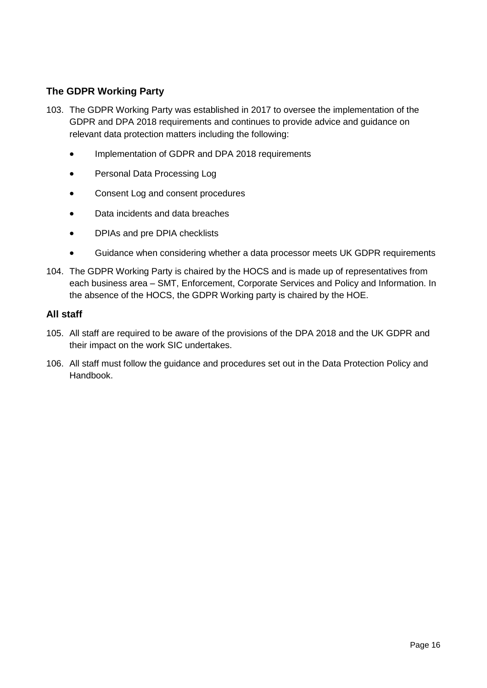## **The GDPR Working Party**

- 103. The GDPR Working Party was established in 2017 to oversee the implementation of the GDPR and DPA 2018 requirements and continues to provide advice and guidance on relevant data protection matters including the following:
	- Implementation of GDPR and DPA 2018 requirements
	- Personal Data Processing Log
	- Consent Log and consent procedures
	- Data incidents and data breaches
	- DPIAs and pre DPIA checklists
	- Guidance when considering whether a data processor meets UK GDPR requirements
- 104. The GDPR Working Party is chaired by the HOCS and is made up of representatives from each business area – SMT, Enforcement, Corporate Services and Policy and Information. In the absence of the HOCS, the GDPR Working party is chaired by the HOE.

### <span id="page-20-0"></span>**All staff**

- 105. All staff are required to be aware of the provisions of the DPA 2018 and the UK GDPR and their impact on the work SIC undertakes.
- 106. All staff must follow the guidance and procedures set out in the Data Protection Policy and Handbook.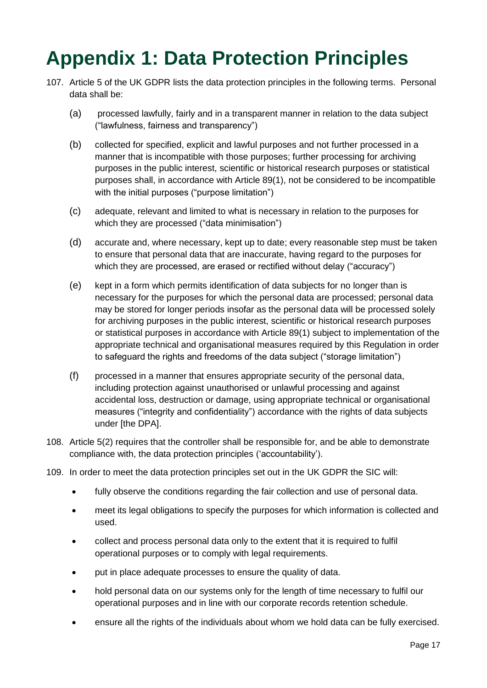## <span id="page-21-0"></span>**Appendix 1: Data Protection Principles**

- 107. Article 5 of the UK GDPR lists the data protection principles in the following terms. Personal data shall be:
	- (a) processed lawfully, fairly and in a transparent manner in relation to the data subject ("lawfulness, fairness and transparency")
	- (b) collected for specified, explicit and lawful purposes and not further processed in a manner that is incompatible with those purposes; further processing for archiving purposes in the public interest, scientific or historical research purposes or statistical purposes shall, in accordance with Article 89(1), not be considered to be incompatible with the initial purposes ("purpose limitation")
	- (c) adequate, relevant and limited to what is necessary in relation to the purposes for which they are processed ("data minimisation")
	- (d) accurate and, where necessary, kept up to date; every reasonable step must be taken to ensure that personal data that are inaccurate, having regard to the purposes for which they are processed, are erased or rectified without delay ("accuracy")
	- (e) kept in a form which permits identification of data subjects for no longer than is necessary for the purposes for which the personal data are processed; personal data may be stored for longer periods insofar as the personal data will be processed solely for archiving purposes in the public interest, scientific or historical research purposes or statistical purposes in accordance with Article 89(1) subject to implementation of the appropriate technical and organisational measures required by this Regulation in order to safeguard the rights and freedoms of the data subject ("storage limitation")
	- (f) processed in a manner that ensures appropriate security of the personal data, including protection against unauthorised or unlawful processing and against accidental loss, destruction or damage, using appropriate technical or organisational measures ("integrity and confidentiality") accordance with the rights of data subjects under [the DPA].
- 108. Article 5(2) requires that the controller shall be responsible for, and be able to demonstrate compliance with, the data protection principles ('accountability').
- 109. In order to meet the data protection principles set out in the UK GDPR the SIC will:
	- fully observe the conditions regarding the fair collection and use of personal data.
	- meet its legal obligations to specify the purposes for which information is collected and used.
	- collect and process personal data only to the extent that it is required to fulfil operational purposes or to comply with legal requirements.
	- put in place adequate processes to ensure the quality of data.
	- hold personal data on our systems only for the length of time necessary to fulfil our operational purposes and in line with our corporate records retention schedule.
	- ensure all the rights of the individuals about whom we hold data can be fully exercised.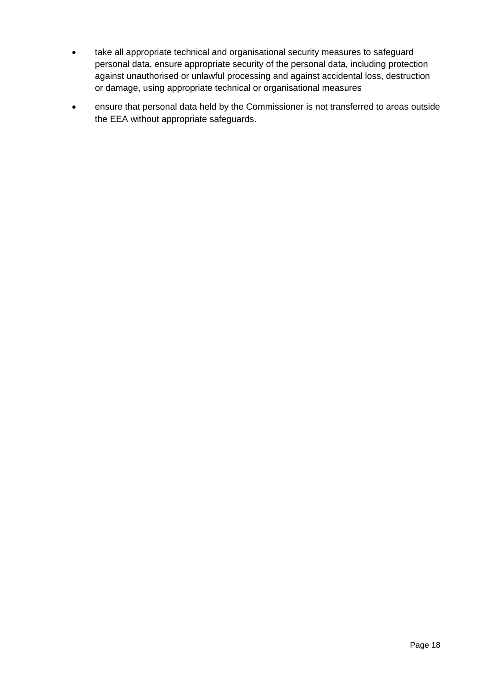- take all appropriate technical and organisational security measures to safeguard personal data. ensure appropriate security of the personal data, including protection against unauthorised or unlawful processing and against accidental loss, destruction or damage, using appropriate technical or organisational measures
- ensure that personal data held by the Commissioner is not transferred to areas outside the EEA without appropriate safeguards.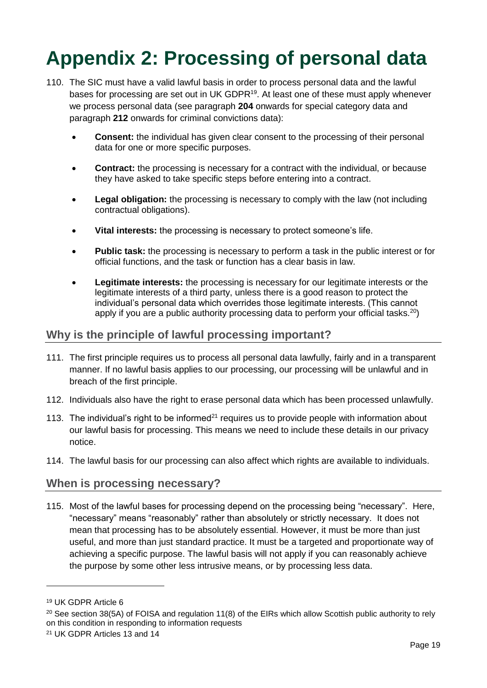## <span id="page-23-0"></span>**Appendix 2: Processing of personal data**

- 110. The SIC must have a valid lawful basis in order to process personal data and the lawful bases for processing are set out in UK GDPR<sup>19</sup>. At least one of these must apply whenever we process personal data (see paragraph **[204](#page-35-3)** onwards for special category data and paragraph **[212](#page-38-1)** onwards for criminal convictions data):
	- **Consent:** the individual has given clear consent to the processing of their personal data for one or more specific purposes.
	- **Contract:** the processing is necessary for a contract with the individual, or because they have asked to take specific steps before entering into a contract.
	- **Legal obligation:** the processing is necessary to comply with the law (not including contractual obligations).
	- **Vital interests:** the processing is necessary to protect someone's life.
	- **Public task:** the processing is necessary to perform a task in the public interest or for official functions, and the task or function has a clear basis in law.
	- **Legitimate interests:** the processing is necessary for our legitimate interests or the legitimate interests of a third party, unless there is a good reason to protect the individual's personal data which overrides those legitimate interests. (This cannot apply if you are a public authority processing data to perform your official tasks.<sup>20</sup>)

## <span id="page-23-1"></span>**Why is the principle of lawful processing important?**

- 111. The first principle requires us to process all personal data lawfully, fairly and in a transparent manner. If no lawful basis applies to our processing, our processing will be unlawful and in breach of the first principle.
- 112. Individuals also have the right to erase personal data which has been processed unlawfully.
- 113. The individual's right to be informed<sup>21</sup> requires us to provide people with information about our lawful basis for processing. This means we need to include these details in our privacy notice.
- 114. The lawful basis for our processing can also affect which rights are available to individuals.

## <span id="page-23-2"></span>**When is processing necessary?**

115. Most of the lawful bases for processing depend on the processing being "necessary". Here, "necessary" means "reasonably" rather than absolutely or strictly necessary. It does not mean that processing has to be absolutely essential. However, it must be more than just useful, and more than just standard practice. It must be a targeted and proportionate way of achieving a specific purpose. The lawful basis will not apply if you can reasonably achieve the purpose by some other less intrusive means, or by processing less data.

<sup>19</sup> UK GDPR Article 6

<sup>&</sup>lt;sup>20</sup> See section 38(5A) of FOISA and regulation 11(8) of the EIRs which allow Scottish public authority to rely on this condition in responding to information requests

<sup>21</sup> UK GDPR Articles 13 and 14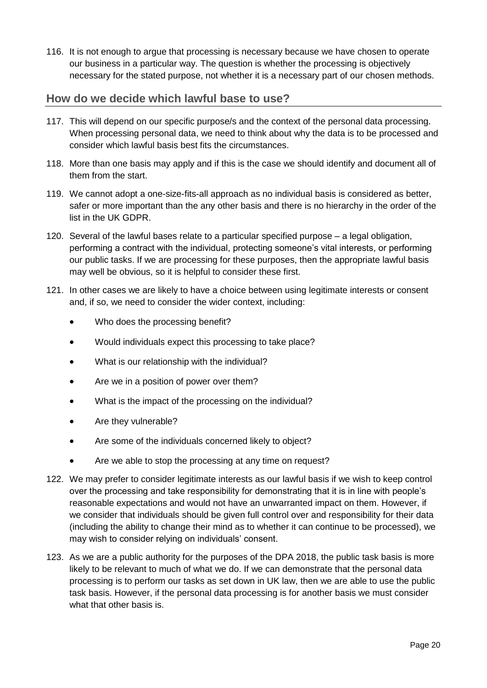116. It is not enough to argue that processing is necessary because we have chosen to operate our business in a particular way. The question is whether the processing is objectively necessary for the stated purpose, not whether it is a necessary part of our chosen methods.

## <span id="page-24-0"></span>**How do we decide which lawful base to use?**

- 117. This will depend on our specific purpose/s and the context of the personal data processing. When processing personal data, we need to think about why the data is to be processed and consider which lawful basis best fits the circumstances.
- 118. More than one basis may apply and if this is the case we should identify and document all of them from the start.
- 119. We cannot adopt a one-size-fits-all approach as no individual basis is considered as better, safer or more important than the any other basis and there is no hierarchy in the order of the list in the UK GDPR.
- 120. Several of the lawful bases relate to a particular specified purpose a legal obligation, performing a contract with the individual, protecting someone's vital interests, or performing our public tasks. If we are processing for these purposes, then the appropriate lawful basis may well be obvious, so it is helpful to consider these first.
- 121. In other cases we are likely to have a choice between using legitimate interests or consent and, if so, we need to consider the wider context, including:
	- Who does the processing benefit?
	- Would individuals expect this processing to take place?
	- What is our relationship with the individual?
	- Are we in a position of power over them?
	- What is the impact of the processing on the individual?
	- Are they vulnerable?
	- Are some of the individuals concerned likely to object?
	- Are we able to stop the processing at any time on request?
- 122. We may prefer to consider legitimate interests as our lawful basis if we wish to keep control over the processing and take responsibility for demonstrating that it is in line with people's reasonable expectations and would not have an unwarranted impact on them. However, if we consider that individuals should be given full control over and responsibility for their data (including the ability to change their mind as to whether it can continue to be processed), we may wish to consider relying on individuals' consent.
- 123. As we are a public authority for the purposes of the DPA 2018, the public task basis is more likely to be relevant to much of what we do. If we can demonstrate that the personal data processing is to perform our tasks as set down in UK law, then we are able to use the public task basis. However, if the personal data processing is for another basis we must consider what that other basis is.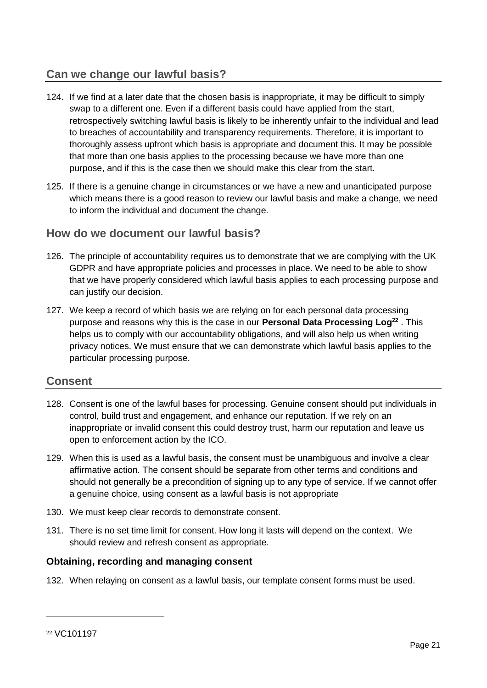## <span id="page-25-0"></span>**Can we change our lawful basis?**

- 124. If we find at a later date that the chosen basis is inappropriate, it may be difficult to simply swap to a different one. Even if a different basis could have applied from the start, retrospectively switching lawful basis is likely to be inherently unfair to the individual and lead to breaches of accountability and transparency requirements. Therefore, it is important to thoroughly assess upfront which basis is appropriate and document this. It may be possible that more than one basis applies to the processing because we have more than one purpose, and if this is the case then we should make this clear from the start.
- 125. If there is a genuine change in circumstances or we have a new and unanticipated purpose which means there is a good reason to review our lawful basis and make a change, we need to inform the individual and document the change.

## <span id="page-25-1"></span>**How do we document our lawful basis?**

- 126. The principle of accountability requires us to demonstrate that we are complying with the UK GDPR and have appropriate policies and processes in place. We need to be able to show that we have properly considered which lawful basis applies to each processing purpose and can justify our decision.
- 127. We keep a record of which basis we are relying on for each personal data processing purpose and reasons why this is the case in our **Personal Data Processing Log<sup>22</sup>** . This helps us to comply with our accountability obligations, and will also help us when writing privacy notices. We must ensure that we can demonstrate which lawful basis applies to the particular processing purpose.

## <span id="page-25-2"></span>**Consent**

- 128. Consent is one of the lawful bases for processing. Genuine consent should put individuals in control, build trust and engagement, and enhance our reputation. If we rely on an inappropriate or invalid consent this could destroy trust, harm our reputation and leave us open to enforcement action by the ICO.
- 129. When this is used as a lawful basis, the consent must be unambiguous and involve a clear affirmative action. The consent should be separate from other terms and conditions and should not generally be a precondition of signing up to any type of service. If we cannot offer a genuine choice, using consent as a lawful basis is not appropriate
- 130. We must keep clear records to demonstrate consent.
- 131. There is no set time limit for consent. How long it lasts will depend on the context. We should review and refresh consent as appropriate.

### <span id="page-25-3"></span>**Obtaining, recording and managing consent**

132. When relaying on consent as a lawful basis, our template consent forms must be used.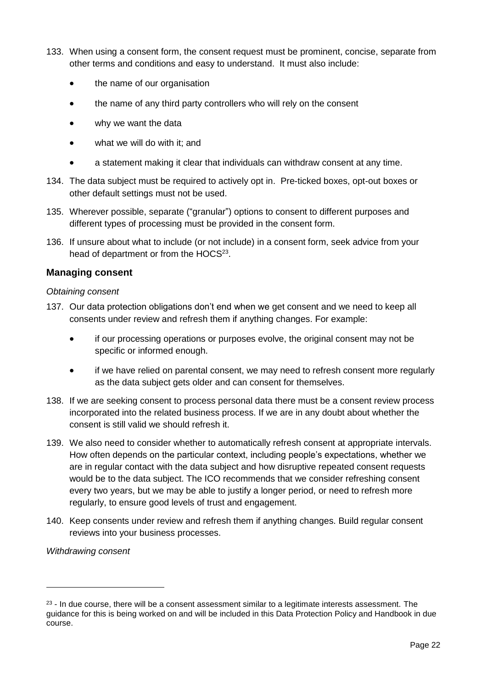- 133. When using a consent form, the consent request must be prominent, concise, separate from other terms and conditions and easy to understand. It must also include:
	- the name of our organisation
	- the name of any third party controllers who will rely on the consent
	- why we want the data
	- what we will do with it; and
	- a statement making it clear that individuals can withdraw consent at any time.
- 134. The data subject must be required to actively opt in. Pre-ticked boxes, opt-out boxes or other default settings must not be used.
- 135. Wherever possible, separate ("granular") options to consent to different purposes and different types of processing must be provided in the consent form.
- 136. If unsure about what to include (or not include) in a consent form, seek advice from your head of department or from the HOCS<sup>23</sup>.

### <span id="page-26-0"></span>**Managing consent**

### *Obtaining consent*

- 137. Our data protection obligations don't end when we get consent and we need to keep all consents under review and refresh them if anything changes. For example:
	- if our processing operations or purposes evolve, the original consent may not be specific or informed enough.
	- if we have relied on parental consent, we may need to refresh consent more regularly as the data subject gets older and can consent for themselves.
- 138. If we are seeking consent to process personal data there must be a consent review process incorporated into the related business process. If we are in any doubt about whether the consent is still valid we should refresh it.
- 139. We also need to consider whether to automatically refresh consent at appropriate intervals. How often depends on the particular context, including people's expectations, whether we are in regular contact with the data subject and how disruptive repeated consent requests would be to the data subject. The ICO recommends that we consider refreshing consent every two years, but we may be able to justify a longer period, or need to refresh more regularly, to ensure good levels of trust and engagement.
- 140. Keep consents under review and refresh them if anything changes. Build regular consent reviews into your business processes.

### *Withdrawing consent*

 $23$  - In due course, there will be a consent assessment similar to a legitimate interests assessment. The guidance for this is being worked on and will be included in this Data Protection Policy and Handbook in due course.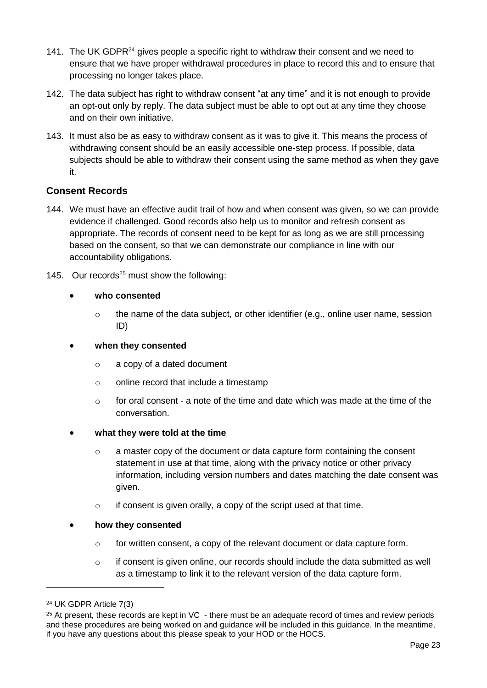- 141. The UK GDPR<sup>24</sup> gives people a specific right to withdraw their consent and we need to ensure that we have proper withdrawal procedures in place to record this and to ensure that processing no longer takes place.
- 142. The data subject has right to withdraw consent "at any time" and it is not enough to provide an opt-out only by reply. The data subject must be able to opt out at any time they choose and on their own initiative.
- 143. It must also be as easy to withdraw consent as it was to give it. This means the process of withdrawing consent should be an easily accessible one-step process. If possible, data subjects should be able to withdraw their consent using the same method as when they gave it.

### <span id="page-27-0"></span>**Consent Records**

- 144. We must have an effective audit trail of how and when consent was given, so we can provide evidence if challenged. Good records also help us to monitor and refresh consent as appropriate. The records of consent need to be kept for as long as we are still processing based on the consent, so that we can demonstrate our compliance in line with our accountability obligations.
- 145. Our records<sup>25</sup> must show the following:

### • **who consented**

 $\circ$  the name of the data subject, or other identifier (e.g., online user name, session ID)

### • **when they consented**

- o a copy of a dated document
- o online record that include a timestamp
- $\circ$  for oral consent a note of the time and date which was made at the time of the conversation.
- **what they were told at the time**
	- o a master copy of the document or data capture form containing the consent statement in use at that time, along with the privacy notice or other privacy information, including version numbers and dates matching the date consent was given.
	- o if consent is given orally, a copy of the script used at that time.

### • **how they consented**

- $\circ$  for written consent, a copy of the relevant document or data capture form.
- $\circ$  if consent is given online, our records should include the data submitted as well as a timestamp to link it to the relevant version of the data capture form.

<sup>24</sup> UK GDPR Article 7(3)

 $25$  At present, these records are kept in VC - there must be an adequate record of times and review periods and these procedures are being worked on and guidance will be included in this guidance. In the meantime, if you have any questions about this please speak to your HOD or the HOCS.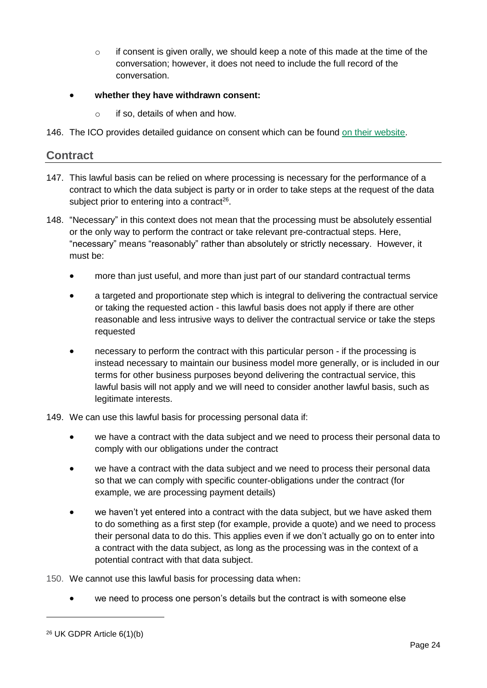- $\circ$  if consent is given orally, we should keep a note of this made at the time of the conversation; however, it does not need to include the full record of the conversation.
- **whether they have withdrawn consent:**
	- o if so, details of when and how.
- 146. The ICO provides detailed guidance on consent which can be found [on their website.](https://ico.org.uk/for-organisations/guide-to-data-protection/guide-to-the-general-data-protection-regulation-gdpr/lawful-basis-for-processing/consent/)

### <span id="page-28-0"></span>**Contract**

- 147. This lawful basis can be relied on where processing is necessary for the performance of a contract to which the data subject is party or in order to take steps at the request of the data subject prior to entering into a contract<sup>26</sup>.
- 148. "Necessary" in this context does not mean that the processing must be absolutely essential or the only way to perform the contract or take relevant pre-contractual steps. Here, "necessary" means "reasonably" rather than absolutely or strictly necessary. However, it must be:
	- more than just useful, and more than just part of our standard contractual terms
	- a targeted and proportionate step which is integral to delivering the contractual service or taking the requested action - this lawful basis does not apply if there are other reasonable and less intrusive ways to deliver the contractual service or take the steps requested
	- necessary to perform the contract with this particular person if the processing is instead necessary to maintain our business model more generally, or is included in our terms for other business purposes beyond delivering the contractual service, this lawful basis will not apply and we will need to consider another lawful basis, such as legitimate interests.
- 149. We can use this lawful basis for processing personal data if:
	- we have a contract with the data subject and we need to process their personal data to comply with our obligations under the contract
	- we have a contract with the data subject and we need to process their personal data so that we can comply with specific counter-obligations under the contract (for example, we are processing payment details)
	- we haven't yet entered into a contract with the data subject, but we have asked them to do something as a first step (for example, provide a quote) and we need to process their personal data to do this. This applies even if we don't actually go on to enter into a contract with the data subject, as long as the processing was in the context of a potential contract with that data subject.
- 150. We cannot use this lawful basis for processing data when**:**
	- we need to process one person's details but the contract is with someone else

<sup>26</sup> UK GDPR Article 6(1)(b)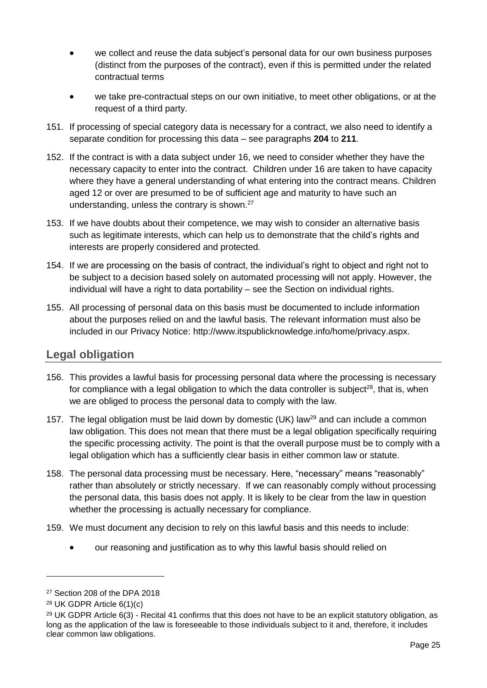- we collect and reuse the data subject's personal data for our own business purposes (distinct from the purposes of the contract), even if this is permitted under the related contractual terms
- we take pre-contractual steps on our own initiative, to meet other obligations, or at the request of a third party.
- 151. If processing of special category data is necessary for a contract, we also need to identify a separate condition for processing this data – see paragraphs **[204](#page-35-3)** to **[211](#page-38-2)**.
- 152. If the contract is with a data subject under 16, we need to consider whether they have the necessary capacity to enter into the contract. Children under 16 are taken to have capacity where they have a general understanding of what entering into the contract means. Children aged 12 or over are presumed to be of sufficient age and maturity to have such an understanding, unless the contrary is shown.<sup>27</sup>
- 153. If we have doubts about their competence, we may wish to consider an alternative basis such as legitimate interests, which can help us to demonstrate that the child's rights and interests are properly considered and protected.
- 154. If we are processing on the basis of contract, the individual's right to object and right not to be subject to a decision based solely on automated processing will not apply. However, the individual will have a right to data portability – see the Section on individual rights.
- 155. All processing of personal data on this basis must be documented to include information about the purposes relied on and the lawful basis. The relevant information must also be included in our Privacy Notice: http://www.itspublicknowledge.info/home/privacy.aspx.

## <span id="page-29-0"></span>**Legal obligation**

- 156. This provides a lawful basis for processing personal data where the processing is necessary for compliance with a legal obligation to which the data controller is subject<sup>28</sup>, that is, when we are obliged to process the personal data to comply with the law.
- 157. The legal obligation must be laid down by domestic (UK) law<sup>29</sup> and can include a common law obligation. This does not mean that there must be a legal obligation specifically requiring the specific processing activity. The point is that the overall purpose must be to comply with a legal obligation which has a sufficiently clear basis in either common law or statute.
- 158. The personal data processing must be necessary. Here, "necessary" means "reasonably" rather than absolutely or strictly necessary. If we can reasonably comply without processing the personal data, this basis does not apply. It is likely to be clear from the law in question whether the processing is actually necessary for compliance.
- 159. We must document any decision to rely on this lawful basis and this needs to include:
	- our reasoning and justification as to why this lawful basis should relied on

<sup>27</sup> Section 208 of the DPA 2018

<sup>28</sup> UK GDPR Article 6(1)(c)

<sup>&</sup>lt;sup>29</sup> UK GDPR Article 6(3) - Recital 41 confirms that this does not have to be an explicit statutory obligation, as long as the application of the law is foreseeable to those individuals subject to it and, therefore, it includes clear common law obligations.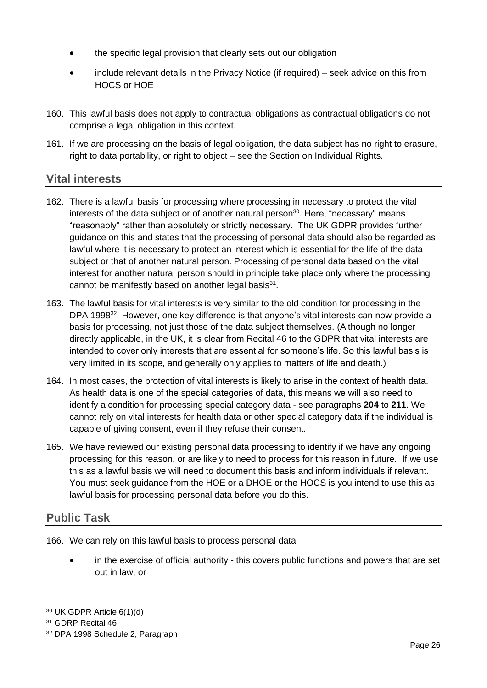- the specific legal provision that clearly sets out our obligation
- include relevant details in the Privacy Notice (if required) seek advice on this from HOCS or HOE
- 160. This lawful basis does not apply to contractual obligations as contractual obligations do not comprise a legal obligation in this context.
- 161. If we are processing on the basis of legal obligation, the data subject has no right to erasure, right to data portability, or right to object – see the Section on Individual Rights.

## <span id="page-30-0"></span>**Vital interests**

- 162. There is a lawful basis for processing where processing in necessary to protect the vital interests of the data subject or of another natural person<sup>30</sup>. Here, "necessary" means "reasonably" rather than absolutely or strictly necessary. The UK GDPR provides further guidance on this and states that the processing of personal data should also be regarded as lawful where it is necessary to protect an interest which is essential for the life of the data subject or that of another natural person. Processing of personal data based on the vital interest for another natural person should in principle take place only where the processing cannot be manifestly based on another legal basis<sup>31</sup>.
- 163. The lawful basis for vital interests is very similar to the old condition for processing in the DPA 1998<sup>32</sup>. However, one key difference is that anyone's vital interests can now provide a basis for processing, not just those of the data subject themselves. (Although no longer directly applicable, in the UK, it is clear from Recital 46 to the GDPR that vital interests are intended to cover only interests that are essential for someone's life. So this lawful basis is very limited in its scope, and generally only applies to matters of life and death.)
- 164. In most cases, the protection of vital interests is likely to arise in the context of health data. As health data is one of the special categories of data, this means we will also need to identify a condition for processing special category data - see paragraphs **[204](#page-35-3)** to **[211](#page-38-2)**. We cannot rely on vital interests for health data or other special category data if the individual is capable of giving consent, even if they refuse their consent.
- 165. We have reviewed our existing personal data processing to identify if we have any ongoing processing for this reason, or are likely to need to process for this reason in future. If we use this as a lawful basis we will need to document this basis and inform individuals if relevant. You must seek guidance from the HOE or a DHOE or the HOCS is you intend to use this as lawful basis for processing personal data before you do this.

## <span id="page-30-1"></span>**Public Task**

166. We can rely on this lawful basis to process personal data

• in the exercise of official authority - this covers public functions and powers that are set out in law, or

<sup>30</sup> UK GDPR Article 6(1)(d)

<sup>31</sup> GDRP Recital 46

<sup>32</sup> DPA 1998 Schedule 2, Paragraph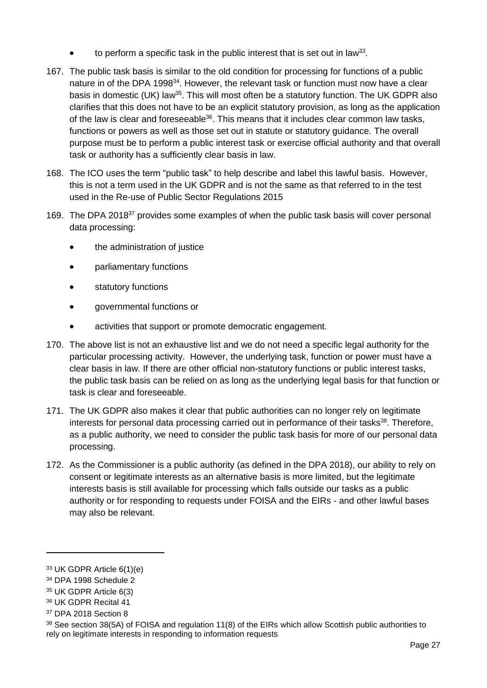- $\bullet$  to perform a specific task in the public interest that is set out in law<sup>33</sup>.
- 167. The public task basis is similar to the old condition for processing for functions of a public nature in of the DPA 1998<sup>34</sup>. However, the relevant task or function must now have a clear basis in domestic (UK) law<sup>35</sup>. This will most often be a statutory function. The UK GDPR also clarifies that this does not have to be an explicit statutory provision, as long as the application of the law is clear and foreseeable<sup>36</sup>. This means that it includes clear common law tasks, functions or powers as well as those set out in statute or statutory guidance. The overall purpose must be to perform a public interest task or exercise official authority and that overall task or authority has a sufficiently clear basis in law.
- 168. The ICO uses the term "public task" to help describe and label this lawful basis. However, this is not a term used in the UK GDPR and is not the same as that referred to in the test used in the Re-use of Public Sector Regulations 2015
- 169. The DPA 2018<sup>37</sup> provides some examples of when the public task basis will cover personal data processing:
	- the administration of justice
	- parliamentary functions
	- statutory functions
	- governmental functions or
	- activities that support or promote democratic engagement.
- 170. The above list is not an exhaustive list and we do not need a specific legal authority for the particular processing activity. However, the underlying task, function or power must have a clear basis in law. If there are other official non-statutory functions or public interest tasks, the public task basis can be relied on as long as the underlying legal basis for that function or task is clear and foreseeable.
- 171. The UK GDPR also makes it clear that public authorities can no longer rely on legitimate interests for personal data processing carried out in performance of their tasks<sup>38</sup>. Therefore, as a public authority, we need to consider the public task basis for more of our personal data processing.
- 172. As the Commissioner is a public authority (as defined in the DPA 2018), our ability to rely on consent or legitimate interests as an alternative basis is more limited, but the legitimate interests basis is still available for processing which falls outside our tasks as a public authority or for responding to requests under FOISA and the EIRs - and other lawful bases may also be relevant.

<sup>33</sup> UK GDPR Article 6(1)(e)

<sup>34</sup> DPA 1998 Schedule 2

<sup>35</sup> UK GDPR Article 6(3)

<sup>36</sup> UK GDPR Recital 41

<sup>37</sup> DPA 2018 Section 8

<sup>38</sup> See section 38(5A) of FOISA and regulation 11(8) of the EIRs which allow Scottish public authorities to rely on legitimate interests in responding to information requests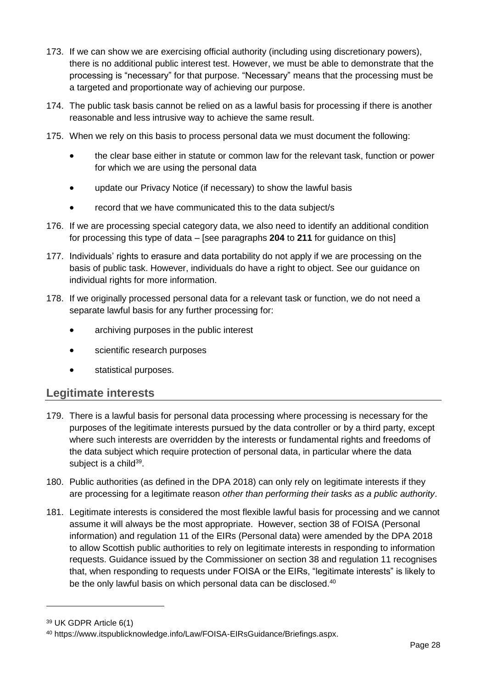- 173. If we can show we are exercising official authority (including using discretionary powers), there is no additional public interest test. However, we must be able to demonstrate that the processing is "necessary" for that purpose. "Necessary" means that the processing must be a targeted and proportionate way of achieving our purpose.
- 174. The public task basis cannot be relied on as a lawful basis for processing if there is another reasonable and less intrusive way to achieve the same result.
- 175. When we rely on this basis to process personal data we must document the following:
	- the clear base either in statute or common law for the relevant task, function or power for which we are using the personal data
	- update our Privacy Notice (if necessary) to show the lawful basis
	- record that we have communicated this to the data subject/s
- 176. If we are processing special category data, we also need to identify an additional condition for processing this type of data – [see paragraphs **[204](#page-35-3)** to **[211](#page-38-2)** for guidance on this]
- 177. Individuals' rights to erasure and data portability do not apply if we are processing on the basis of public task. However, individuals do have a right to object. See our guidance on individual rights for more information.
- 178. If we originally processed personal data for a relevant task or function, we do not need a separate lawful basis for any further processing for:
	- archiving purposes in the public interest
	- scientific research purposes
	- statistical purposes.

## <span id="page-32-0"></span>**Legitimate interests**

- 179. There is a lawful basis for personal data processing where processing is necessary for the purposes of the legitimate interests pursued by the data controller or by a third party, except where such interests are overridden by the interests or fundamental rights and freedoms of the data subject which require protection of personal data, in particular where the data subject is a child<sup>39</sup>.
- 180. Public authorities (as defined in the DPA 2018) can only rely on legitimate interests if they are processing for a legitimate reason *other than performing their tasks as a public authority*.
- 181. Legitimate interests is considered the most flexible lawful basis for processing and we cannot assume it will always be the most appropriate. However, section 38 of FOISA (Personal information) and regulation 11 of the EIRs (Personal data) were amended by the DPA 2018 to allow Scottish public authorities to rely on legitimate interests in responding to information requests. Guidance issued by the Commissioner on section 38 and regulation 11 recognises that, when responding to requests under FOISA or the EIRs, "legitimate interests" is likely to be the only lawful basis on which personal data can be disclosed.<sup>40</sup>

<sup>39</sup> UK GDPR Article 6(1)

<sup>40</sup> https://www.itspublicknowledge.info/Law/FOISA-EIRsGuidance/Briefings.aspx.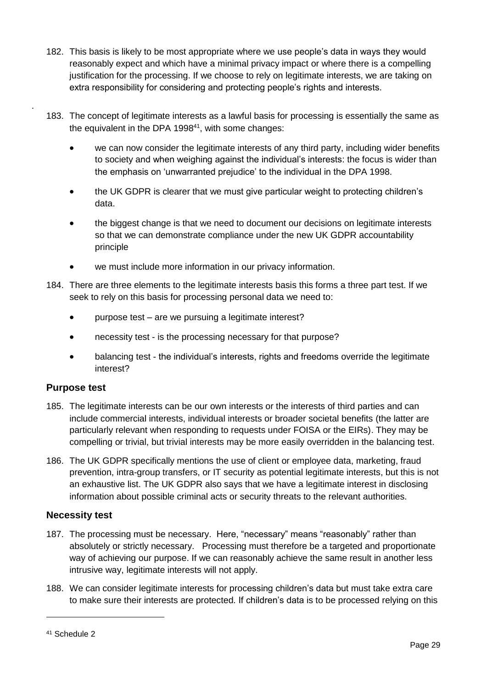- 182. This basis is likely to be most appropriate where we use people's data in ways they would reasonably expect and which have a minimal privacy impact or where there is a compelling justification for the processing. If we choose to rely on legitimate interests, we are taking on extra responsibility for considering and protecting people's rights and interests.
- 183. The concept of legitimate interests as a lawful basis for processing is essentially the same as the equivalent in the DPA 1998 $41$ , with some changes:
	- we can now consider the legitimate interests of any third party, including wider benefits to society and when weighing against the individual's interests: the focus is wider than the emphasis on 'unwarranted prejudice' to the individual in the DPA 1998.
	- the UK GDPR is clearer that we must give particular weight to protecting children's data.
	- the biggest change is that we need to document our decisions on legitimate interests so that we can demonstrate compliance under the new UK GDPR accountability principle
	- we must include more information in our privacy information.
- 184. There are three elements to the legitimate interests basis this forms a three part test. If we seek to rely on this basis for processing personal data we need to:
	- purpose test are we pursuing a legitimate interest?
	- necessity test is the processing necessary for that purpose?
	- balancing test the individual's interests, rights and freedoms override the legitimate interest?

### <span id="page-33-0"></span>**Purpose test**

.

- 185. The legitimate interests can be our own interests or the interests of third parties and can include commercial interests, individual interests or broader societal benefits (the latter are particularly relevant when responding to requests under FOISA or the EIRs). They may be compelling or trivial, but trivial interests may be more easily overridden in the balancing test.
- 186. The UK GDPR specifically mentions the use of client or employee data, marketing, fraud prevention, intra-group transfers, or IT security as potential legitimate interests, but this is not an exhaustive list. The UK GDPR also says that we have a legitimate interest in disclosing information about possible criminal acts or security threats to the relevant authorities.

### <span id="page-33-1"></span>**Necessity test**

- 187. The processing must be necessary. Here, "necessary" means "reasonably" rather than absolutely or strictly necessary. Processing must therefore be a targeted and proportionate way of achieving our purpose. If we can reasonably achieve the same result in another less intrusive way, legitimate interests will not apply.
- 188. We can consider legitimate interests for processing children's data but must take extra care to make sure their interests are protected. If children's data is to be processed relying on this

<sup>41</sup> Schedule 2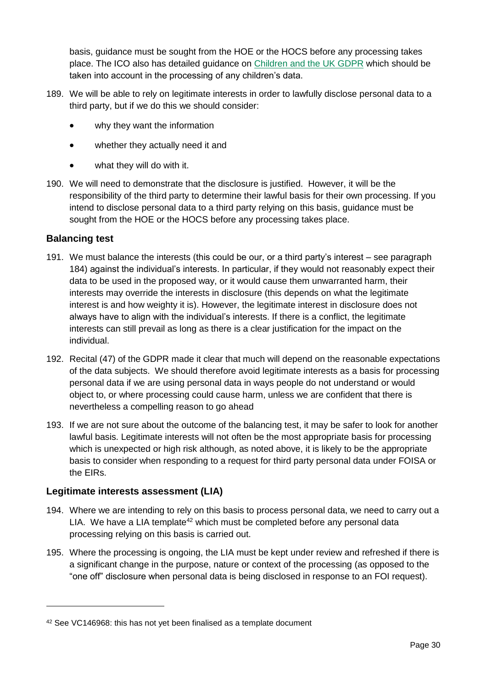basis, guidance must be sought from the HOE or the HOCS before any processing takes place. The ICO also has detailed guidance on [Children and the UK GDPR](https://ico.org.uk/for-organisations/guide-to-data-protection/guide-to-the-general-data-protection-regulation-gdpr/children-and-the-gdpr/) which should be taken into account in the processing of any children's data.

- 189. We will be able to rely on legitimate interests in order to lawfully disclose personal data to a third party, but if we do this we should consider:
	- why they want the information
	- whether they actually need it and
	- what they will do with it.
- 190. We will need to demonstrate that the disclosure is justified. However, it will be the responsibility of the third party to determine their lawful basis for their own processing. If you intend to disclose personal data to a third party relying on this basis, guidance must be sought from the HOE or the HOCS before any processing takes place.

### <span id="page-34-0"></span>**Balancing test**

-

- 191. We must balance the interests (this could be our, or a third party's interest see paragraph 184) against the individual's interests. In particular, if they would not reasonably expect their data to be used in the proposed way, or it would cause them unwarranted harm, their interests may override the interests in disclosure (this depends on what the legitimate interest is and how weighty it is). However, the legitimate interest in disclosure does not always have to align with the individual's interests. If there is a conflict, the legitimate interests can still prevail as long as there is a clear justification for the impact on the individual.
- 192. Recital (47) of the GDPR made it clear that much will depend on the reasonable expectations of the data subjects. We should therefore avoid legitimate interests as a basis for processing personal data if we are using personal data in ways people do not understand or would object to, or where processing could cause harm, unless we are confident that there is nevertheless a compelling reason to go ahead
- 193. If we are not sure about the outcome of the balancing test, it may be safer to look for another lawful basis. Legitimate interests will not often be the most appropriate basis for processing which is unexpected or high risk although, as noted above, it is likely to be the appropriate basis to consider when responding to a request for third party personal data under FOISA or the EIRs.

### <span id="page-34-1"></span>**Legitimate interests assessment (LIA)**

- 194. Where we are intending to rely on this basis to process personal data, we need to carry out a LIA. We have a LIA template<sup>42</sup> which must be completed before any personal data processing relying on this basis is carried out.
- 195. Where the processing is ongoing, the LIA must be kept under review and refreshed if there is a significant change in the purpose, nature or context of the processing (as opposed to the "one off" disclosure when personal data is being disclosed in response to an FOI request).

<sup>42</sup> See VC146968: this has not yet been finalised as a template document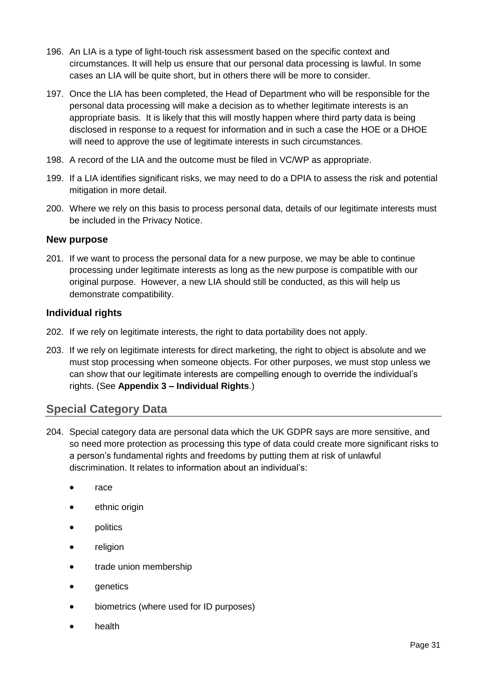- 196. An LIA is a type of light-touch risk assessment based on the specific context and circumstances. It will help us ensure that our personal data processing is lawful. In some cases an LIA will be quite short, but in others there will be more to consider.
- 197. Once the LIA has been completed, the Head of Department who will be responsible for the personal data processing will make a decision as to whether legitimate interests is an appropriate basis. It is likely that this will mostly happen where third party data is being disclosed in response to a request for information and in such a case the HOE or a DHOE will need to approve the use of legitimate interests in such circumstances.
- 198. A record of the LIA and the outcome must be filed in VC/WP as appropriate.
- 199. If a LIA identifies significant risks, we may need to do a DPIA to assess the risk and potential mitigation in more detail.
- 200. Where we rely on this basis to process personal data, details of our legitimate interests must be included in the Privacy Notice.

### <span id="page-35-0"></span>**New purpose**

201. If we want to process the personal data for a new purpose, we may be able to continue processing under legitimate interests as long as the new purpose is compatible with our original purpose. However, a new LIA should still be conducted, as this will help us demonstrate compatibility.

### <span id="page-35-1"></span>**Individual rights**

- 202. If we rely on legitimate interests, the right to data portability does not apply.
- 203. If we rely on legitimate interests for direct marketing, the right to object is absolute and we must stop processing when someone objects. For other purposes, we must stop unless we can show that our legitimate interests are compelling enough to override the individual's rights. (See **Appendix 3 – [Individual Rights](#page-39-0)**.)

## <span id="page-35-2"></span>**Special Category Data**

- <span id="page-35-3"></span>204. Special category data are personal data which the UK GDPR says are more sensitive, and so need more protection as processing this type of data could create more significant risks to a person's fundamental rights and freedoms by putting them at risk of unlawful discrimination. It relates to information about an individual's:
	- race
	- ethnic origin
	- politics
	- religion
	- trade union membership
	- genetics
	- biometrics (where used for ID purposes)
	- health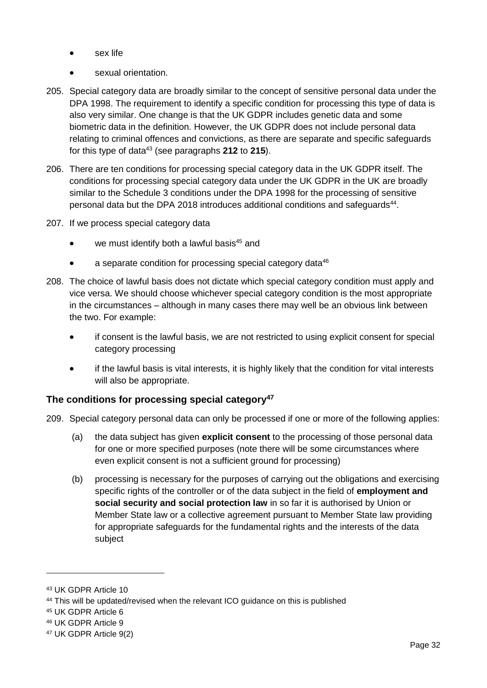- sex life
- sexual orientation.
- 205. Special category data are broadly similar to the concept of sensitive personal data under the DPA 1998. The requirement to identify a specific condition for processing this type of data is also very similar. One change is that the UK GDPR includes genetic data and some biometric data in the definition. However, the UK GDPR does not include personal data relating to criminal offences and convictions, as there are separate and specific safeguards for this type of data<sup>43</sup> (see paragraphs **[212](#page-38-1)** to **[215](#page-38-3)**).
- 206. There are ten conditions for processing special category data in the UK GDPR itself. The conditions for processing special category data under the UK GDPR in the UK are broadly similar to the Schedule 3 conditions under the DPA 1998 for the processing of sensitive personal data but the DPA 2018 introduces additional conditions and safeguards<sup>44</sup>.
- 207. If we process special category data
	- we must identify both a lawful basis<sup>45</sup> and
	- a separate condition for processing special category data<sup>46</sup>
- 208. The choice of lawful basis does not dictate which special category condition must apply and vice versa. We should choose whichever special category condition is the most appropriate in the circumstances – although in many cases there may well be an obvious link between the two. For example:
	- if consent is the lawful basis, we are not restricted to using explicit consent for special category processing
	- if the lawful basis is vital interests, it is highly likely that the condition for vital interests will also be appropriate.

### <span id="page-36-0"></span>**The conditions for processing special category<sup>47</sup>**

- 209. Special category personal data can only be processed if one or more of the following applies:
	- (a) the data subject has given **explicit consent** to the processing of those personal data for one or more specified purposes (note there will be some circumstances where even explicit consent is not a sufficient ground for processing)
	- (b) processing is necessary for the purposes of carrying out the obligations and exercising specific rights of the controller or of the data subject in the field of **employment and social security and social protection law** in so far it is authorised by Union or Member State law or a collective agreement pursuant to Member State law providing for appropriate safeguards for the fundamental rights and the interests of the data subject

<sup>43</sup> UK GDPR Article 10

<sup>&</sup>lt;sup>44</sup> This will be updated/revised when the relevant ICO guidance on this is published

<sup>45</sup> UK GDPR Article 6

<sup>46</sup> UK GDPR Article 9

<sup>47</sup> UK GDPR Article 9(2)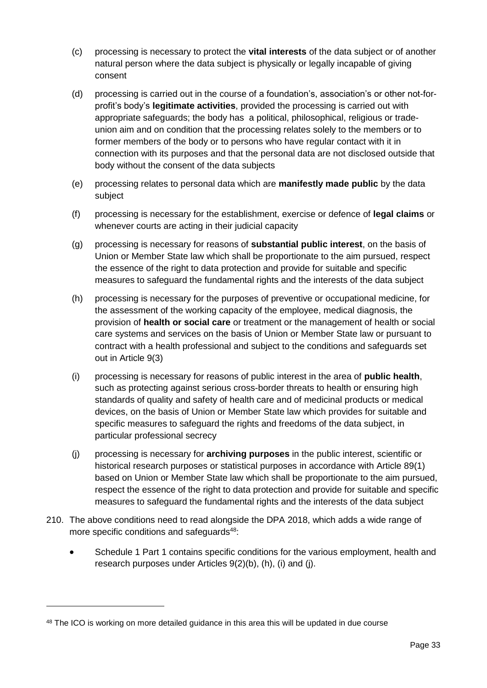- (c) processing is necessary to protect the **vital interests** of the data subject or of another natural person where the data subject is physically or legally incapable of giving consent
- (d) processing is carried out in the course of a foundation's, association's or other not-forprofit's body's **legitimate activities**, provided the processing is carried out with appropriate safeguards; the body has a political, philosophical, religious or tradeunion aim and on condition that the processing relates solely to the members or to former members of the body or to persons who have regular contact with it in connection with its purposes and that the personal data are not disclosed outside that body without the consent of the data subjects
- (e) processing relates to personal data which are **manifestly made public** by the data subject
- (f) processing is necessary for the establishment, exercise or defence of **legal claims** or whenever courts are acting in their judicial capacity
- (g) processing is necessary for reasons of **substantial public interest**, on the basis of Union or Member State law which shall be proportionate to the aim pursued, respect the essence of the right to data protection and provide for suitable and specific measures to safeguard the fundamental rights and the interests of the data subject
- (h) processing is necessary for the purposes of preventive or occupational medicine, for the assessment of the working capacity of the employee, medical diagnosis, the provision of **health or social care** or treatment or the management of health or social care systems and services on the basis of Union or Member State law or pursuant to contract with a health professional and subject to the conditions and safeguards set out in Article 9(3)
- (i) processing is necessary for reasons of public interest in the area of **public health**, such as protecting against serious cross-border threats to health or ensuring high standards of quality and safety of health care and of medicinal products or medical devices, on the basis of Union or Member State law which provides for suitable and specific measures to safeguard the rights and freedoms of the data subject, in particular professional secrecy
- (j) processing is necessary for **archiving purposes** in the public interest, scientific or historical research purposes or statistical purposes in accordance with Article 89(1) based on Union or Member State law which shall be proportionate to the aim pursued, respect the essence of the right to data protection and provide for suitable and specific measures to safeguard the fundamental rights and the interests of the data subject
- 210. The above conditions need to read alongside the DPA 2018, which adds a wide range of more specific conditions and safeguards<sup>48</sup>:
	- Schedule 1 Part 1 contains specific conditions for the various employment, health and research purposes under Articles 9(2)(b), (h), (i) and (j).

<sup>&</sup>lt;sup>48</sup> The ICO is working on more detailed guidance in this area this will be updated in due course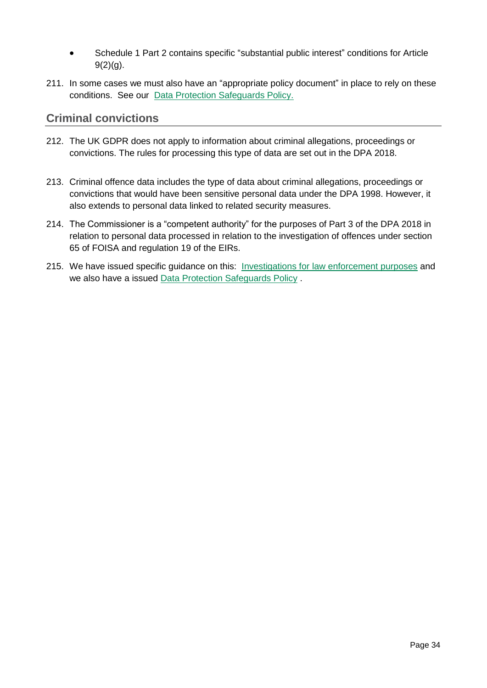- Schedule 1 Part 2 contains specific "substantial public interest" conditions for Article  $9(2)(q)$ .
- <span id="page-38-2"></span>211. In some cases we must also have an "appropriate policy document" in place to rely on these conditions. See our [Data Protection Safeguards Policy.](http://www.itspublicknowledge.info/nmsruntime/saveasdialog.aspx?lID=13169&sID=4362)

## <span id="page-38-0"></span>**Criminal convictions**

- <span id="page-38-1"></span>212. The UK GDPR does not apply to information about criminal allegations, proceedings or convictions. The rules for processing this type of data are set out in the DPA 2018.
- 213. Criminal offence data includes the type of data about criminal allegations, proceedings or convictions that would have been sensitive personal data under the DPA 1998. However, it also extends to personal data linked to related security measures.
- 214. The Commissioner is a "competent authority" for the purposes of Part 3 of the DPA 2018 in relation to personal data processed in relation to the investigation of offences under section 65 of FOISA and regulation 19 of the EIRs.
- <span id="page-38-3"></span>215. We have issued specific guidance on this: [Investigations for law enforcement purposes](http://www.itspublicknowledge.info/nmsruntime/saveasdialog.aspx?lID=12578&sID=4362) and we also have a issued [Data Protection Safeguards Policy](http://www.itspublicknowledge.info/nmsruntime/saveasdialog.aspx?lID=13169&sID=4362) .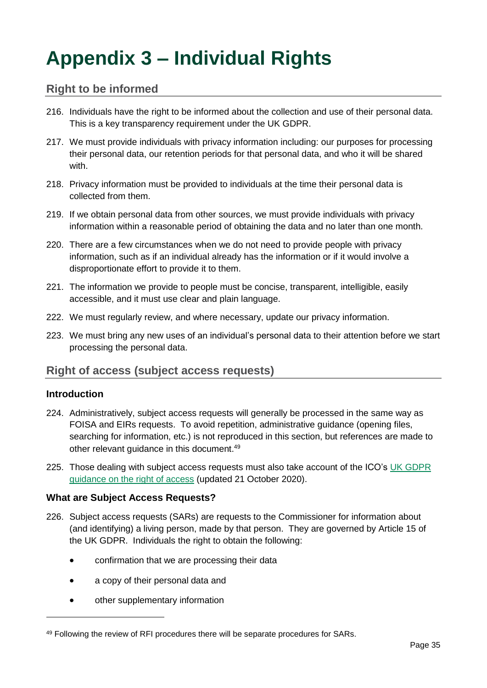## <span id="page-39-0"></span>**Appendix 3 – Individual Rights**

## <span id="page-39-1"></span>**Right to be informed**

- 216. Individuals have the right to be informed about the collection and use of their personal data. This is a key transparency requirement under the UK GDPR.
- 217. We must provide individuals with privacy information including: our purposes for processing their personal data, our retention periods for that personal data, and who it will be shared with.
- 218. Privacy information must be provided to individuals at the time their personal data is collected from them.
- 219. If we obtain personal data from other sources, we must provide individuals with privacy information within a reasonable period of obtaining the data and no later than one month.
- 220. There are a few circumstances when we do not need to provide people with privacy information, such as if an individual already has the information or if it would involve a disproportionate effort to provide it to them.
- 221. The information we provide to people must be concise, transparent, intelligible, easily accessible, and it must use clear and plain language.
- 222. We must regularly review, and where necessary, update our privacy information.
- 223. We must bring any new uses of an individual's personal data to their attention before we start processing the personal data.

## <span id="page-39-2"></span>**Right of access (subject access requests)**

### <span id="page-39-3"></span>**Introduction**

-

- 224. Administratively, subject access requests will generally be processed in the same way as FOISA and EIRs requests. To avoid repetition, administrative guidance (opening files, searching for information, etc.) is not reproduced in this section, but references are made to other relevant guidance in this document.<sup>49</sup>
- 225. Those dealing with subject access requests must also take account of the ICO's [UK GDPR](https://ico.org.uk/for-organisations/guide-to-data-protection/guide-to-the-general-data-protection-regulation-gdpr/right-of-access/) [guidance on the right of access](https://ico.org.uk/for-organisations/guide-to-data-protection/guide-to-the-general-data-protection-regulation-gdpr/right-of-access/) (updated 21 October 2020).

### <span id="page-39-4"></span>**What are Subject Access Requests?**

- 226. Subject access requests (SARs) are requests to the Commissioner for information about (and identifying) a living person, made by that person. They are governed by Article 15 of the UK GDPR. Individuals the right to obtain the following:
	- confirmation that we are processing their data
	- a copy of their personal data and
	- other supplementary information

<sup>49</sup> Following the review of RFI procedures there will be separate procedures for SARs.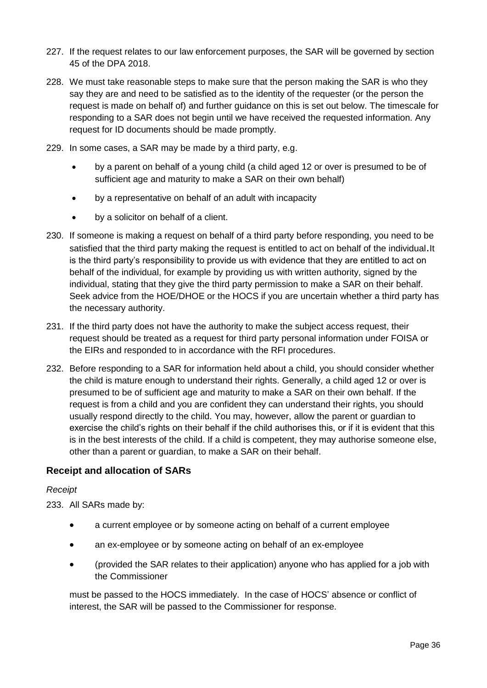- 227. If the request relates to our law enforcement purposes, the SAR will be governed by section 45 of the DPA 2018.
- 228. We must take reasonable steps to make sure that the person making the SAR is who they say they are and need to be satisfied as to the identity of the requester (or the person the request is made on behalf of) and further guidance on this is set out below. The timescale for responding to a SAR does not begin until we have received the requested information. Any request for ID documents should be made promptly.
- 229. In some cases, a SAR may be made by a third party, e.g.
	- by a parent on behalf of a young child (a child aged 12 or over is presumed to be of sufficient age and maturity to make a SAR on their own behalf)
	- by a representative on behalf of an adult with incapacity
	- by a solicitor on behalf of a client.
- 230. If someone is making a request on behalf of a third party before responding, you need to be satisfied that the third party making the request is entitled to act on behalf of the individual.It is the third party's responsibility to provide us with evidence that they are entitled to act on behalf of the individual, for example by providing us with written authority, signed by the individual, stating that they give the third party permission to make a SAR on their behalf. Seek advice from the HOE/DHOE or the HOCS if you are uncertain whether a third party has the necessary authority.
- 231. If the third party does not have the authority to make the subject access request, their request should be treated as a request for third party personal information under FOISA or the EIRs and responded to in accordance with the RFI procedures.
- 232. Before responding to a SAR for information held about a child, you should consider whether the child is mature enough to understand their rights. Generally, a child aged 12 or over is presumed to be of sufficient age and maturity to make a SAR on their own behalf. If the request is from a child and you are confident they can understand their rights, you should usually respond directly to the child. You may, however, allow the parent or guardian to exercise the child's rights on their behalf if the child authorises this, or if it is evident that this is in the best interests of the child. If a child is competent, they may authorise someone else, other than a parent or guardian, to make a SAR on their behalf.

### <span id="page-40-0"></span>**Receipt and allocation of SARs**

### *Receipt*

<span id="page-40-1"></span>233. All SARs made by:

- a current employee or by someone acting on behalf of a current employee
- an ex-employee or by someone acting on behalf of an ex-employee
- (provided the SAR relates to their application) anyone who has applied for a job with the Commissioner

must be passed to the HOCS immediately. In the case of HOCS' absence or conflict of interest, the SAR will be passed to the Commissioner for response.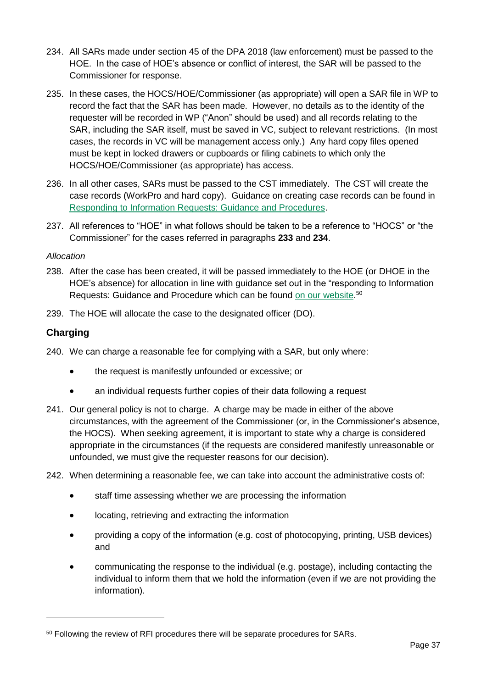- <span id="page-41-1"></span>234. All SARs made under section 45 of the DPA 2018 (law enforcement) must be passed to the HOE.In the case of HOE's absence or conflict of interest, the SAR will be passed to the Commissioner for response.
- 235. In these cases, the HOCS/HOE/Commissioner (as appropriate) will open a SAR file in WP to record the fact that the SAR has been made. However, no details as to the identity of the requester will be recorded in WP ("Anon" should be used) and all records relating to the SAR, including the SAR itself, must be saved in VC, subject to relevant restrictions. (In most cases, the records in VC will be management access only.) Any hard copy files opened must be kept in locked drawers or cupboards or filing cabinets to which only the HOCS/HOE/Commissioner (as appropriate) has access.
- 236. In all other cases, SARs must be passed to the CST immediately. The CST will create the case records (WorkPro and hard copy). Guidance on creating case records can be found in [Responding to Information Requests: Guidance and Procedures.](http://www.itspublicknowledge.info/nmsruntime/saveasdialog.aspx?lID=7940&sID=105)
- 237. All references to "HOE" in what follows should be taken to be a reference to "HOCS" or "the Commissioner" for the cases referred in paragraphs **[233](#page-40-1)** and **[234](#page-41-1)**.

### *Allocation*

- 238. After the case has been created, it will be passed immediately to the HOE (or DHOE in the HOE's absence) for allocation in line with guidance set out in the "responding to Information Requests: Guidance and Procedure which can be found [on our website.](http://www.itspublicknowledge.info/Law/FOISA-EIRsGuidance/Briefings.aspx#procedures)<sup>50</sup>
- 239. The HOE will allocate the case to the designated officer (DO).

### <span id="page-41-0"></span>**Charging**

- <span id="page-41-2"></span>240. We can charge a reasonable fee for complying with a SAR, but only where:
	- the request is manifestly unfounded or excessive; or
	- an individual requests further copies of their data following a request
- 241. Our general policy is not to charge. A charge may be made in either of the above circumstances, with the agreement of the Commissioner (or, in the Commissioner's absence, the HOCS). When seeking agreement, it is important to state why a charge is considered appropriate in the circumstances (if the requests are considered manifestly unreasonable or unfounded, we must give the requester reasons for our decision).
- 242. When determining a reasonable fee, we can take into account the administrative costs of:
	- staff time assessing whether we are processing the information
	- locating, retrieving and extracting the information
	- providing a copy of the information (e.g. cost of photocopying, printing, USB devices) and
	- communicating the response to the individual (e.g. postage), including contacting the individual to inform them that we hold the information (even if we are not providing the information).

<sup>50</sup> Following the review of RFI procedures there will be separate procedures for SARs.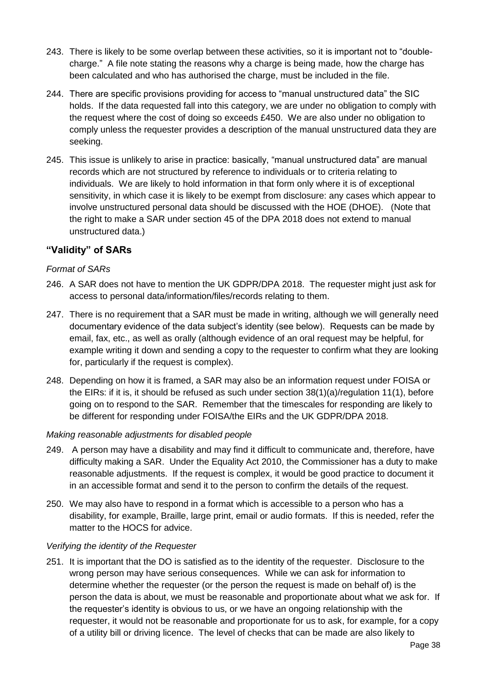- 243. There is likely to be some overlap between these activities, so it is important not to "doublecharge." A file note stating the reasons why a charge is being made, how the charge has been calculated and who has authorised the charge, must be included in the file.
- 244. There are specific provisions providing for access to "manual unstructured data" the SIC holds. If the data requested fall into this category, we are under no obligation to comply with the request where the cost of doing so exceeds £450. We are also under no obligation to comply unless the requester provides a description of the manual unstructured data they are seeking.
- 245. This issue is unlikely to arise in practice: basically, "manual unstructured data" are manual records which are not structured by reference to individuals or to criteria relating to individuals. We are likely to hold information in that form only where it is of exceptional sensitivity, in which case it is likely to be exempt from disclosure: any cases which appear to involve unstructured personal data should be discussed with the HOE (DHOE). (Note that the right to make a SAR under section 45 of the DPA 2018 does not extend to manual unstructured data.)

### <span id="page-42-0"></span>**"Validity" of SARs**

#### *Format of SARs*

- 246. A SAR does not have to mention the UK GDPR/DPA 2018. The requester might just ask for access to personal data/information/files/records relating to them.
- 247. There is no requirement that a SAR must be made in writing, although we will generally need documentary evidence of the data subject's identity (see below). Requests can be made by email, fax, etc., as well as orally (although evidence of an oral request may be helpful, for example writing it down and sending a copy to the requester to confirm what they are looking for, particularly if the request is complex).
- 248. Depending on how it is framed, a SAR may also be an information request under FOISA or the EIRs: if it is, it should be refused as such under section 38(1)(a)/regulation 11(1), before going on to respond to the SAR. Remember that the timescales for responding are likely to be different for responding under FOISA/the EIRs and the UK GDPR/DPA 2018.

#### *Making reasonable adjustments for disabled people*

- 249. A person may have a disability and may find it difficult to communicate and, therefore, have difficulty making a SAR. Under the Equality Act 2010, the Commissioner has a duty to make reasonable adjustments. If the request is complex, it would be good practice to document it in an accessible format and send it to the person to confirm the details of the request.
- 250. We may also have to respond in a format which is accessible to a person who has a disability, for example, Braille, large print, email or audio formats. If this is needed, refer the matter to the HOCS for advice.

### *Verifying the identity of the Requester*

251. It is important that the DO is satisfied as to the identity of the requester. Disclosure to the wrong person may have serious consequences. While we can ask for information to determine whether the requester (or the person the request is made on behalf of) is the person the data is about, we must be reasonable and proportionate about what we ask for. If the requester's identity is obvious to us, or we have an ongoing relationship with the requester, it would not be reasonable and proportionate for us to ask, for example, for a copy of a utility bill or driving licence. The level of checks that can be made are also likely to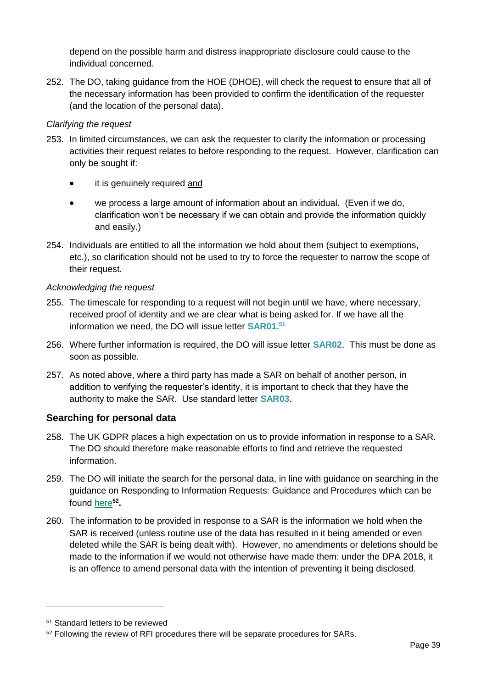depend on the possible harm and distress inappropriate disclosure could cause to the individual concerned.

252. The DO, taking guidance from the HOE (DHOE), will check the request to ensure that all of the necessary information has been provided to confirm the identification of the requester (and the location of the personal data).

### *Clarifying the request*

- 253. In limited circumstances, we can ask the requester to clarify the information or processing activities their request relates to before responding to the request. However, clarification can only be sought if:
	- it is genuinely required and
	- we process a large amount of information about an individual. (Even if we do, clarification won't be necessary if we can obtain and provide the information quickly and easily.)
- 254. Individuals are entitled to all the information we hold about them (subject to exemptions, etc.), so clarification should not be used to try to force the requester to narrow the scope of their request.

### *Acknowledging the request*

- 255. The timescale for responding to a request will not begin until we have, where necessary, received proof of identity and we are clear what is being asked for. If we have all the information we need, the DO will issue letter **SAR01.<sup>51</sup>**
- 256. Where further information is required, the DO will issue letter **SAR02**. This must be done as soon as possible.
- 257. As noted above, where a third party has made a SAR on behalf of another person, in addition to verifying the requester's identity, it is important to check that they have the authority to make the SAR. Use standard letter **SAR03**.

## <span id="page-43-0"></span>**Searching for personal data**

- 258. The UK GDPR places a high expectation on us to provide information in response to a SAR. The DO should therefore make reasonable efforts to find and retrieve the requested information.
- 259. The DO will initiate the search for the personal data, in line with guidance on searching in the guidance on Responding to Information Requests: Guidance and Procedures which can be found [here](http://www.itspublicknowledge.info/Law/FOISA-EIRsGuidance/Briefings.aspx#procedures)**<sup>52</sup> .**
- 260. The information to be provided in response to a SAR is the information we hold when the SAR is received (unless routine use of the data has resulted in it being amended or even deleted while the SAR is being dealt with). However, no amendments or deletions should be made to the information if we would not otherwise have made them: under the DPA 2018, it is an offence to amend personal data with the intention of preventing it being disclosed.

<sup>51</sup> Standard letters to be reviewed

<sup>52</sup> Following the review of RFI procedures there will be separate procedures for SARs.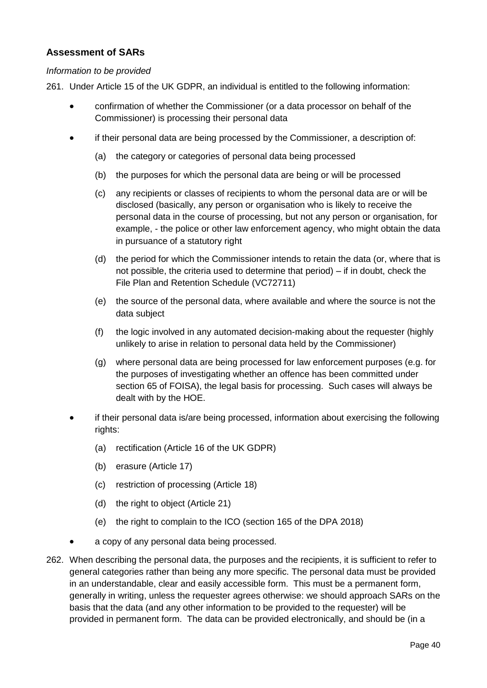### <span id="page-44-0"></span>**Assessment of SARs**

#### *Information to be provided*

261. Under Article 15 of the UK GDPR, an individual is entitled to the following information:

- confirmation of whether the Commissioner (or a data processor on behalf of the Commissioner) is processing their personal data
- if their personal data are being processed by the Commissioner, a description of:
	- (a) the category or categories of personal data being processed
	- (b) the purposes for which the personal data are being or will be processed
	- (c) any recipients or classes of recipients to whom the personal data are or will be disclosed (basically, any person or organisation who is likely to receive the personal data in the course of processing, but not any person or organisation, for example, - the police or other law enforcement agency, who might obtain the data in pursuance of a statutory right
	- (d) the period for which the Commissioner intends to retain the data (or, where that is not possible, the criteria used to determine that period) – if in doubt, check the File Plan and Retention Schedule (VC72711)
	- (e) the source of the personal data, where available and where the source is not the data subject
	- (f) the logic involved in any automated decision-making about the requester (highly unlikely to arise in relation to personal data held by the Commissioner)
	- (g) where personal data are being processed for law enforcement purposes (e.g. for the purposes of investigating whether an offence has been committed under section 65 of FOISA), the legal basis for processing. Such cases will always be dealt with by the HOE.
- if their personal data is/are being processed, information about exercising the following rights:
	- (a) rectification (Article 16 of the UK GDPR)
	- (b) erasure (Article 17)
	- (c) restriction of processing (Article 18)
	- (d) the right to object (Article 21)
	- (e) the right to complain to the ICO (section 165 of the DPA 2018)
	- a copy of any personal data being processed.
- 262. When describing the personal data, the purposes and the recipients, it is sufficient to refer to general categories rather than being any more specific. The personal data must be provided in an understandable, clear and easily accessible form. This must be a permanent form, generally in writing, unless the requester agrees otherwise: we should approach SARs on the basis that the data (and any other information to be provided to the requester) will be provided in permanent form. The data can be provided electronically, and should be (in a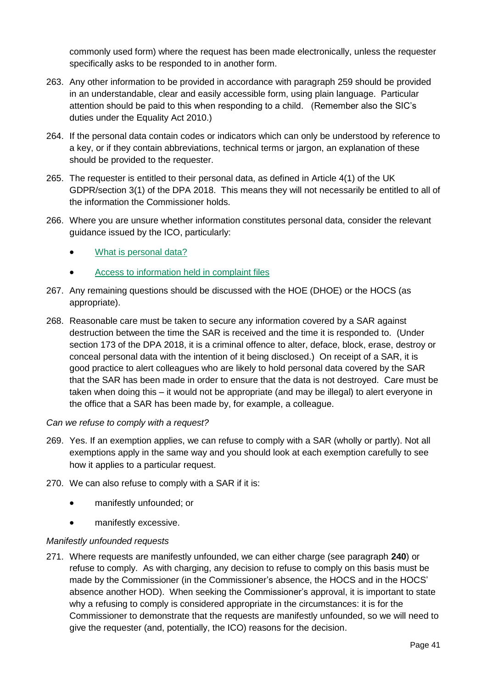commonly used form) where the request has been made electronically, unless the requester specifically asks to be responded to in another form.

- 263. Any other information to be provided in accordance with paragraph 259 should be provided in an understandable, clear and easily accessible form, using plain language. Particular attention should be paid to this when responding to a child. (Remember also the SIC's duties under the Equality Act 2010.)
- 264. If the personal data contain codes or indicators which can only be understood by reference to a key, or if they contain abbreviations, technical terms or jargon, an explanation of these should be provided to the requester.
- 265. The requester is entitled to their personal data, as defined in Article 4(1) of the UK GDPR/section 3(1) of the DPA 2018. This means they will not necessarily be entitled to all of the information the Commissioner holds.
- 266. Where you are unsure whether information constitutes personal data, consider the relevant guidance issued by the ICO, particularly:
	- [What is personal data?](https://ico.org.uk/for-organisations/guide-to-the-general-data-protection-regulation-gdpr/what-is-personal-data/)
	- [Access to information held in complaint files](https://ico.org.uk/media/for-organisations/documents/1179/access_to_information_held_in_complaint_files.pdf)
- 267. Any remaining questions should be discussed with the HOE (DHOE) or the HOCS (as appropriate).
- 268. Reasonable care must be taken to secure any information covered by a SAR against destruction between the time the SAR is received and the time it is responded to. (Under section 173 of the DPA 2018, it is a criminal offence to alter, deface, block, erase, destroy or conceal personal data with the intention of it being disclosed.) On receipt of a SAR, it is good practice to alert colleagues who are likely to hold personal data covered by the SAR that the SAR has been made in order to ensure that the data is not destroyed. Care must be taken when doing this – it would not be appropriate (and may be illegal) to alert everyone in the office that a SAR has been made by, for example, a colleague.

### *Can we refuse to comply with a request?*

- 269. Yes. If an exemption applies, we can refuse to comply with a SAR (wholly or partly). Not all exemptions apply in the same way and you should look at each exemption carefully to see how it applies to a particular request.
- 270. We can also refuse to comply with a SAR if it is:
	- manifestly unfounded; or
	- manifestly excessive.

### *Manifestly unfounded requests*

271. Where requests are manifestly unfounded, we can either charge (see paragraph **[240](#page-41-2)**) or refuse to comply. As with charging, any decision to refuse to comply on this basis must be made by the Commissioner (in the Commissioner's absence, the HOCS and in the HOCS' absence another HOD). When seeking the Commissioner's approval, it is important to state why a refusing to comply is considered appropriate in the circumstances: it is for the Commissioner to demonstrate that the requests are manifestly unfounded, so we will need to give the requester (and, potentially, the ICO) reasons for the decision.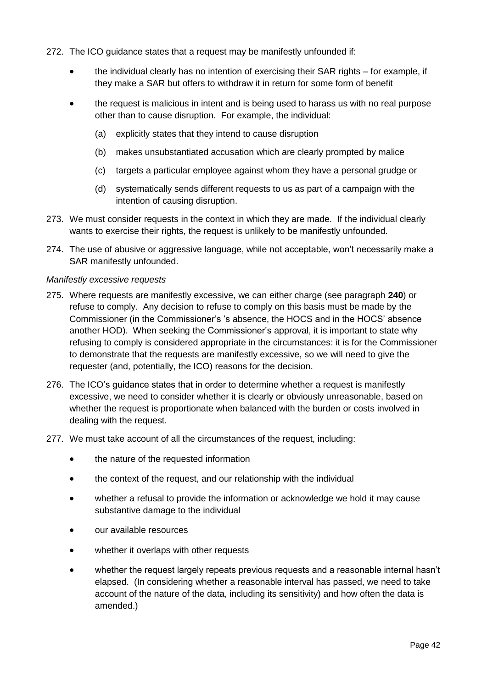- 272. The ICO guidance states that a request may be manifestly unfounded if:
	- the individual clearly has no intention of exercising their SAR rights for example, if they make a SAR but offers to withdraw it in return for some form of benefit
	- the request is malicious in intent and is being used to harass us with no real purpose other than to cause disruption. For example, the individual:
		- (a) explicitly states that they intend to cause disruption
		- (b) makes unsubstantiated accusation which are clearly prompted by malice
		- (c) targets a particular employee against whom they have a personal grudge or
		- (d) systematically sends different requests to us as part of a campaign with the intention of causing disruption.
- 273. We must consider requests in the context in which they are made. If the individual clearly wants to exercise their rights, the request is unlikely to be manifestly unfounded.
- 274. The use of abusive or aggressive language, while not acceptable, won't necessarily make a SAR manifestly unfounded.

#### *Manifestly excessive requests*

- 275. Where requests are manifestly excessive, we can either charge (see paragraph **[240](#page-41-2)**) or refuse to comply. Any decision to refuse to comply on this basis must be made by the Commissioner (in the Commissioner's 's absence, the HOCS and in the HOCS' absence another HOD). When seeking the Commissioner's approval, it is important to state why refusing to comply is considered appropriate in the circumstances: it is for the Commissioner to demonstrate that the requests are manifestly excessive, so we will need to give the requester (and, potentially, the ICO) reasons for the decision.
- 276. The ICO's guidance states that in order to determine whether a request is manifestly excessive, we need to consider whether it is clearly or obviously unreasonable, based on whether the request is proportionate when balanced with the burden or costs involved in dealing with the request.
- 277. We must take account of all the circumstances of the request, including:
	- the nature of the requested information
	- the context of the request, and our relationship with the individual
	- whether a refusal to provide the information or acknowledge we hold it may cause substantive damage to the individual
	- our available resources
	- whether it overlaps with other requests
	- whether the request largely repeats previous requests and a reasonable internal hasn't elapsed. (In considering whether a reasonable interval has passed, we need to take account of the nature of the data, including its sensitivity) and how often the data is amended.)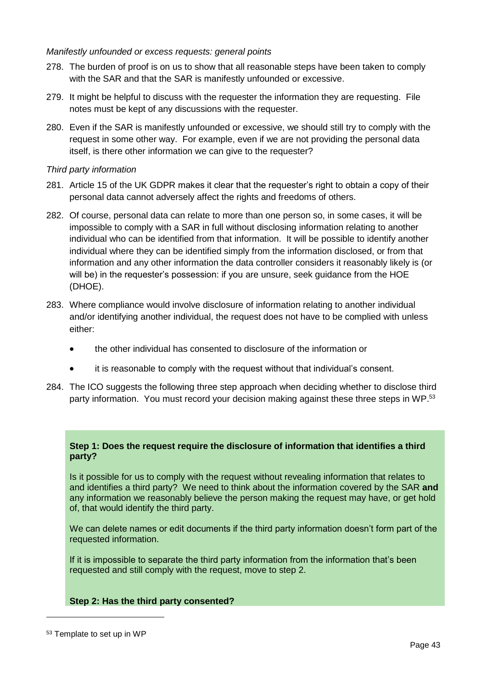### *Manifestly unfounded or excess requests: general points*

- 278. The burden of proof is on us to show that all reasonable steps have been taken to comply with the SAR and that the SAR is manifestly unfounded or excessive.
- 279. It might be helpful to discuss with the requester the information they are requesting. File notes must be kept of any discussions with the requester.
- 280. Even if the SAR is manifestly unfounded or excessive, we should still try to comply with the request in some other way. For example, even if we are not providing the personal data itself, is there other information we can give to the requester?

### *Third party information*

- 281. Article 15 of the UK GDPR makes it clear that the requester's right to obtain a copy of their personal data cannot adversely affect the rights and freedoms of others.
- 282. Of course, personal data can relate to more than one person so, in some cases, it will be impossible to comply with a SAR in full without disclosing information relating to another individual who can be identified from that information. It will be possible to identify another individual where they can be identified simply from the information disclosed, or from that information and any other information the data controller considers it reasonably likely is (or will be) in the requester's possession: if you are unsure, seek guidance from the HOE (DHOE).
- 283. Where compliance would involve disclosure of information relating to another individual and/or identifying another individual, the request does not have to be complied with unless either:
	- the other individual has consented to disclosure of the information or
	- it is reasonable to comply with the request without that individual's consent.
- 284. The ICO suggests the following three step approach when deciding whether to disclose third party information. You must record your decision making against these three steps in WP.<sup>53</sup>

### **Step 1: Does the request require the disclosure of information that identifies a third party?**

Is it possible for us to comply with the request without revealing information that relates to and identifies a third party? We need to think about the information covered by the SAR **and**  any information we reasonably believe the person making the request may have, or get hold of, that would identify the third party.

We can delete names or edit documents if the third party information doesn't form part of the requested information.

If it is impossible to separate the third party information from the information that's been requested and still comply with the request, move to step 2.

### **Step 2: Has the third party consented?**

<sup>53</sup> Template to set up in WP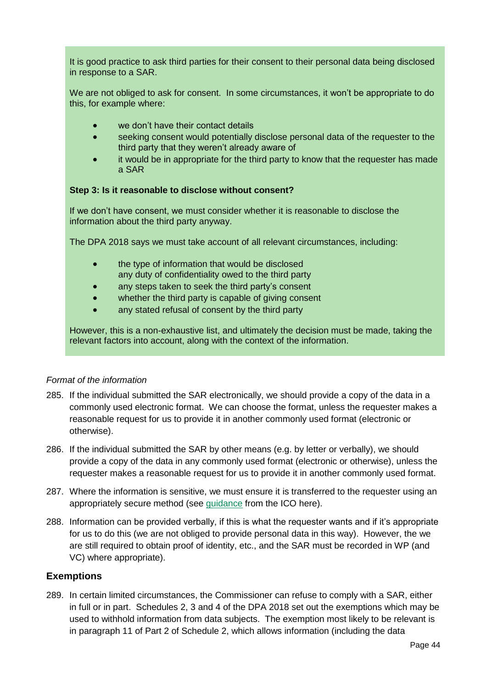It is good practice to ask third parties for their consent to their personal data being disclosed in response to a SAR.

We are not obliged to ask for consent. In some circumstances, it won't be appropriate to do this, for example where:

- we don't have their contact details
- seeking consent would potentially disclose personal data of the requester to the third party that they weren't already aware of
- it would be in appropriate for the third party to know that the requester has made a SAR

### **Step 3: Is it reasonable to disclose without consent?**

If we don't have consent, we must consider whether it is reasonable to disclose the information about the third party anyway.

The DPA 2018 says we must take account of all relevant circumstances, including:

- the type of information that would be disclosed any duty of confidentiality owed to the third party
- any steps taken to seek the third party's consent
- whether the third party is capable of giving consent
- any stated refusal of consent by the third party

However, this is a non-exhaustive list, and ultimately the decision must be made, taking the relevant factors into account, along with the context of the information.

#### *Format of the information*

- 285. If the individual submitted the SAR electronically, we should provide a copy of the data in a commonly used electronic format. We can choose the format, unless the requester makes a reasonable request for us to provide it in another commonly used format (electronic or otherwise).
- 286. If the individual submitted the SAR by other means (e.g. by letter or verbally), we should provide a copy of the data in any commonly used format (electronic or otherwise), unless the requester makes a reasonable request for us to provide it in another commonly used format.
- 287. Where the information is sensitive, we must ensure it is transferred to the requester using an appropriately secure method (see [guidance](https://ico.org.uk/for-organisations/guide-to-data-protection/guide-to-the-general-data-protection-regulation-gdpr/right-of-access/how-should-we-supply-information-to-the-requester/#securely) from the ICO here).
- 288. Information can be provided verbally, if this is what the requester wants and if it's appropriate for us to do this (we are not obliged to provide personal data in this way). However, the we are still required to obtain proof of identity, etc., and the SAR must be recorded in WP (and VC) where appropriate).

### <span id="page-48-0"></span>**Exemptions**

289. In certain limited circumstances, the Commissioner can refuse to comply with a SAR, either in full or in part. Schedules 2, 3 and 4 of the DPA 2018 set out the exemptions which may be used to withhold information from data subjects. The exemption most likely to be relevant is in paragraph 11 of Part 2 of Schedule 2, which allows information (including the data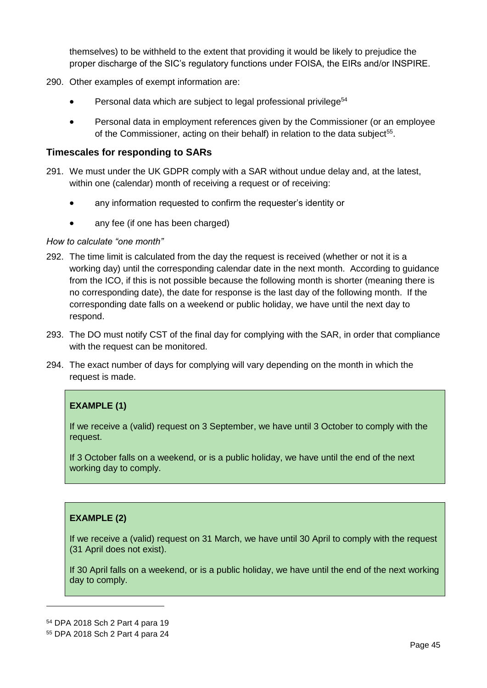themselves) to be withheld to the extent that providing it would be likely to prejudice the proper discharge of the SIC's regulatory functions under FOISA, the EIRs and/or INSPIRE.

- 290. Other examples of exempt information are:
	- Personal data which are subject to legal professional privilege<sup>54</sup>
	- Personal data in employment references given by the Commissioner (or an employee of the Commissioner, acting on their behalf) in relation to the data subject<sup>55</sup>.

### <span id="page-49-0"></span>**Timescales for responding to SARs**

- 291. We must under the UK GDPR comply with a SAR without undue delay and, at the latest, within one (calendar) month of receiving a request or of receiving:
	- any information requested to confirm the requester's identity or
	- any fee (if one has been charged)

### *How to calculate "one month"*

- 292. The time limit is calculated from the day the request is received (whether or not it is a working day) until the corresponding calendar date in the next month. According to guidance from the ICO, if this is not possible because the following month is shorter (meaning there is no corresponding date), the date for response is the last day of the following month. If the corresponding date falls on a weekend or public holiday, we have until the next day to respond.
- 293. The DO must notify CST of the final day for complying with the SAR, in order that compliance with the request can be monitored.
- 294. The exact number of days for complying will vary depending on the month in which the request is made.

## **EXAMPLE (1)**

If we receive a (valid) request on 3 September, we have until 3 October to comply with the request.

If 3 October falls on a weekend, or is a public holiday, we have until the end of the next working day to comply.

### **EXAMPLE (2)**

If we receive a (valid) request on 31 March, we have until 30 April to comply with the request (31 April does not exist).

If 30 April falls on a weekend, or is a public holiday, we have until the end of the next working day to comply.

<sup>54</sup> DPA 2018 Sch 2 Part 4 para 19

<sup>55</sup> DPA 2018 Sch 2 Part 4 para 24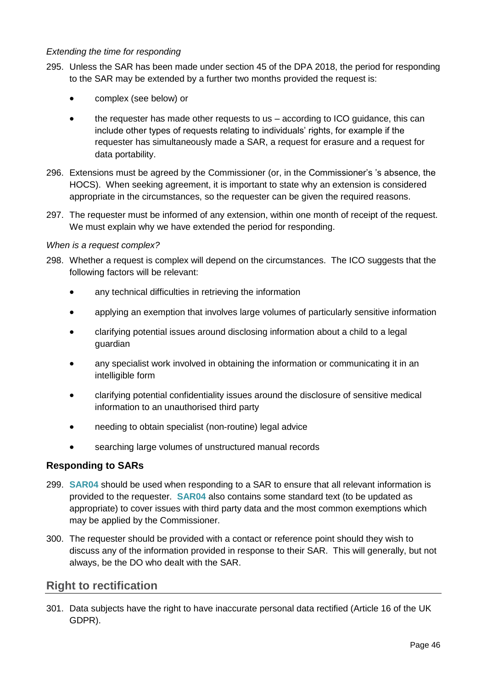### *Extending the time for responding*

- 295. Unless the SAR has been made under section 45 of the DPA 2018, the period for responding to the SAR may be extended by a further two months provided the request is:
	- complex (see below) or
	- the requester has made other requests to us  $-$  according to ICO guidance, this can include other types of requests relating to individuals' rights, for example if the requester has simultaneously made a SAR, a request for erasure and a request for data portability.
- 296. Extensions must be agreed by the Commissioner (or, in the Commissioner's 's absence, the HOCS). When seeking agreement, it is important to state why an extension is considered appropriate in the circumstances, so the requester can be given the required reasons.
- 297. The requester must be informed of any extension, within one month of receipt of the request. We must explain why we have extended the period for responding.

### *When is a request complex?*

- 298. Whether a request is complex will depend on the circumstances. The ICO suggests that the following factors will be relevant:
	- any technical difficulties in retrieving the information
	- applying an exemption that involves large volumes of particularly sensitive information
	- clarifying potential issues around disclosing information about a child to a legal guardian
	- any specialist work involved in obtaining the information or communicating it in an intelligible form
	- clarifying potential confidentiality issues around the disclosure of sensitive medical information to an unauthorised third party
	- needing to obtain specialist (non-routine) legal advice
	- searching large volumes of unstructured manual records

### <span id="page-50-0"></span>**Responding to SARs**

- 299. **SAR04** should be used when responding to a SAR to ensure that all relevant information is provided to the requester. **SAR04** also contains some standard text (to be updated as appropriate) to cover issues with third party data and the most common exemptions which may be applied by the Commissioner.
- 300. The requester should be provided with a contact or reference point should they wish to discuss any of the information provided in response to their SAR. This will generally, but not always, be the DO who dealt with the SAR.

## <span id="page-50-1"></span>**Right to rectification**

301. Data subjects have the right to have inaccurate personal data rectified (Article 16 of the UK GDPR).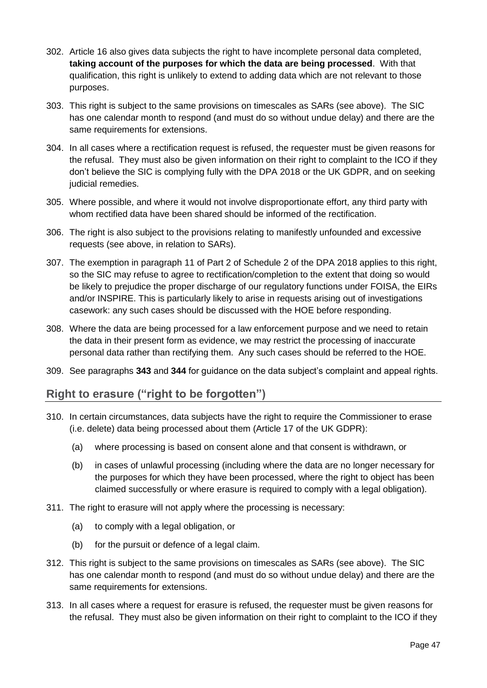- 302. Article 16 also gives data subjects the right to have incomplete personal data completed, **taking account of the purposes for which the data are being processed**. With that qualification, this right is unlikely to extend to adding data which are not relevant to those purposes.
- 303. This right is subject to the same provisions on timescales as SARs (see above). The SIC has one calendar month to respond (and must do so without undue delay) and there are the same requirements for extensions.
- 304. In all cases where a rectification request is refused, the requester must be given reasons for the refusal. They must also be given information on their right to complaint to the ICO if they don't believe the SIC is complying fully with the DPA 2018 or the UK GDPR, and on seeking judicial remedies.
- 305. Where possible, and where it would not involve disproportionate effort, any third party with whom rectified data have been shared should be informed of the rectification.
- 306. The right is also subject to the provisions relating to manifestly unfounded and excessive requests (see above, in relation to SARs).
- 307. The exemption in paragraph 11 of Part 2 of Schedule 2 of the DPA 2018 applies to this right, so the SIC may refuse to agree to rectification/completion to the extent that doing so would be likely to prejudice the proper discharge of our regulatory functions under FOISA, the EIRs and/or INSPIRE. This is particularly likely to arise in requests arising out of investigations casework: any such cases should be discussed with the HOE before responding.
- 308. Where the data are being processed for a law enforcement purpose and we need to retain the data in their present form as evidence, we may restrict the processing of inaccurate personal data rather than rectifying them. Any such cases should be referred to the HOE.
- 309. See paragraphs **343** and **344** for guidance on the data subject's complaint and appeal rights.

## <span id="page-51-0"></span>**Right to erasure ("right to be forgotten")**

- 310. In certain circumstances, data subjects have the right to require the Commissioner to erase (i.e. delete) data being processed about them (Article 17 of the UK GDPR):
	- (a) where processing is based on consent alone and that consent is withdrawn, or
	- (b) in cases of unlawful processing (including where the data are no longer necessary for the purposes for which they have been processed, where the right to object has been claimed successfully or where erasure is required to comply with a legal obligation).
- 311. The right to erasure will not apply where the processing is necessary:
	- (a) to comply with a legal obligation, or
	- (b) for the pursuit or defence of a legal claim.
- 312. This right is subject to the same provisions on timescales as SARs (see above). The SIC has one calendar month to respond (and must do so without undue delay) and there are the same requirements for extensions.
- 313. In all cases where a request for erasure is refused, the requester must be given reasons for the refusal. They must also be given information on their right to complaint to the ICO if they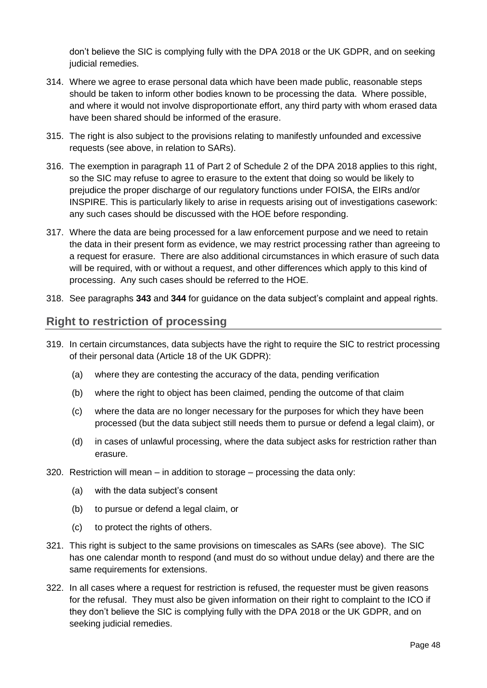don't believe the SIC is complying fully with the DPA 2018 or the UK GDPR, and on seeking judicial remedies.

- 314. Where we agree to erase personal data which have been made public, reasonable steps should be taken to inform other bodies known to be processing the data. Where possible, and where it would not involve disproportionate effort, any third party with whom erased data have been shared should be informed of the erasure.
- 315. The right is also subject to the provisions relating to manifestly unfounded and excessive requests (see above, in relation to SARs).
- 316. The exemption in paragraph 11 of Part 2 of Schedule 2 of the DPA 2018 applies to this right, so the SIC may refuse to agree to erasure to the extent that doing so would be likely to prejudice the proper discharge of our regulatory functions under FOISA, the EIRs and/or INSPIRE. This is particularly likely to arise in requests arising out of investigations casework: any such cases should be discussed with the HOE before responding.
- 317. Where the data are being processed for a law enforcement purpose and we need to retain the data in their present form as evidence, we may restrict processing rather than agreeing to a request for erasure. There are also additional circumstances in which erasure of such data will be required, with or without a request, and other differences which apply to this kind of processing. Any such cases should be referred to the HOE.
- 318. See paragraphs **343** and **344** for guidance on the data subject's complaint and appeal rights.

### <span id="page-52-0"></span>**Right to restriction of processing**

- 319. In certain circumstances, data subjects have the right to require the SIC to restrict processing of their personal data (Article 18 of the UK GDPR):
	- (a) where they are contesting the accuracy of the data, pending verification
	- (b) where the right to object has been claimed, pending the outcome of that claim
	- (c) where the data are no longer necessary for the purposes for which they have been processed (but the data subject still needs them to pursue or defend a legal claim), or
	- (d) in cases of unlawful processing, where the data subject asks for restriction rather than erasure.
- 320. Restriction will mean in addition to storage processing the data only:
	- (a) with the data subject's consent
	- (b) to pursue or defend a legal claim, or
	- (c) to protect the rights of others.
- 321. This right is subject to the same provisions on timescales as SARs (see above). The SIC has one calendar month to respond (and must do so without undue delay) and there are the same requirements for extensions.
- 322. In all cases where a request for restriction is refused, the requester must be given reasons for the refusal. They must also be given information on their right to complaint to the ICO if they don't believe the SIC is complying fully with the DPA 2018 or the UK GDPR, and on seeking judicial remedies.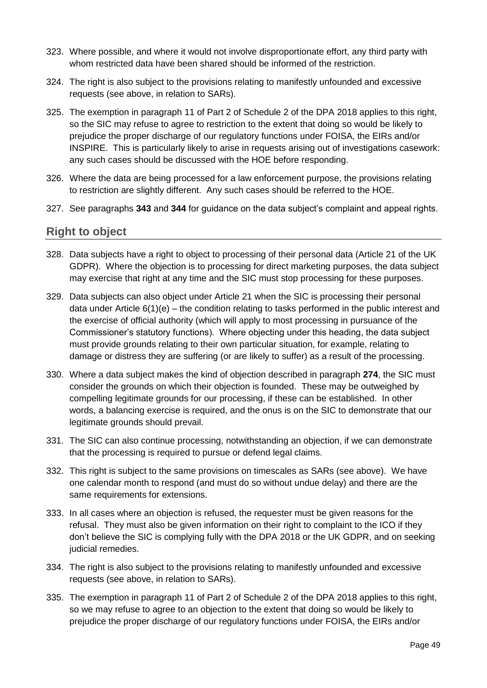- 323. Where possible, and where it would not involve disproportionate effort, any third party with whom restricted data have been shared should be informed of the restriction.
- 324. The right is also subject to the provisions relating to manifestly unfounded and excessive requests (see above, in relation to SARs).
- 325. The exemption in paragraph 11 of Part 2 of Schedule 2 of the DPA 2018 applies to this right, so the SIC may refuse to agree to restriction to the extent that doing so would be likely to prejudice the proper discharge of our regulatory functions under FOISA, the EIRs and/or INSPIRE. This is particularly likely to arise in requests arising out of investigations casework: any such cases should be discussed with the HOE before responding.
- 326. Where the data are being processed for a law enforcement purpose, the provisions relating to restriction are slightly different. Any such cases should be referred to the HOE.
- 327. See paragraphs **343** and **344** for guidance on the data subject's complaint and appeal rights.

## <span id="page-53-0"></span>**Right to object**

- 328. Data subjects have a right to object to processing of their personal data (Article 21 of the UK GDPR). Where the objection is to processing for direct marketing purposes, the data subject may exercise that right at any time and the SIC must stop processing for these purposes.
- 329. Data subjects can also object under Article 21 when the SIC is processing their personal data under Article  $6(1)(e)$  – the condition relating to tasks performed in the public interest and the exercise of official authority (which will apply to most processing in pursuance of the Commissioner's statutory functions). Where objecting under this heading, the data subject must provide grounds relating to their own particular situation, for example, relating to damage or distress they are suffering (or are likely to suffer) as a result of the processing.
- 330. Where a data subject makes the kind of objection described in paragraph **274**, the SIC must consider the grounds on which their objection is founded. These may be outweighed by compelling legitimate grounds for our processing, if these can be established. In other words, a balancing exercise is required, and the onus is on the SIC to demonstrate that our legitimate grounds should prevail.
- 331. The SIC can also continue processing, notwithstanding an objection, if we can demonstrate that the processing is required to pursue or defend legal claims.
- 332. This right is subject to the same provisions on timescales as SARs (see above). We have one calendar month to respond (and must do so without undue delay) and there are the same requirements for extensions.
- 333. In all cases where an objection is refused, the requester must be given reasons for the refusal. They must also be given information on their right to complaint to the ICO if they don't believe the SIC is complying fully with the DPA 2018 or the UK GDPR, and on seeking judicial remedies.
- 334. The right is also subject to the provisions relating to manifestly unfounded and excessive requests (see above, in relation to SARs).
- 335. The exemption in paragraph 11 of Part 2 of Schedule 2 of the DPA 2018 applies to this right, so we may refuse to agree to an objection to the extent that doing so would be likely to prejudice the proper discharge of our regulatory functions under FOISA, the EIRs and/or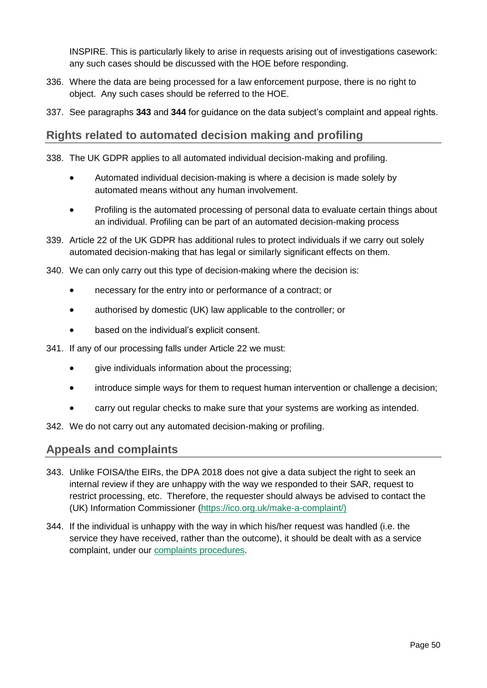INSPIRE. This is particularly likely to arise in requests arising out of investigations casework: any such cases should be discussed with the HOE before responding.

- 336. Where the data are being processed for a law enforcement purpose, there is no right to object. Any such cases should be referred to the HOE.
- 337. See paragraphs **343** and **344** for guidance on the data subject's complaint and appeal rights.

## <span id="page-54-0"></span>**Rights related to automated decision making and profiling**

- 338. The UK GDPR applies to all automated individual decision-making and profiling.
	- Automated individual decision-making is where a decision is made solely by automated means without any human involvement.
	- Profiling is the automated processing of personal data to evaluate certain things about an individual. Profiling can be part of an automated decision-making process
- 339. Article 22 of the UK GDPR has additional rules to protect individuals if we carry out solely automated decision-making that has legal or similarly significant effects on them.
- 340. We can only carry out this type of decision-making where the decision is:
	- necessary for the entry into or performance of a contract; or
	- authorised by domestic (UK) law applicable to the controller: or
	- based on the individual's explicit consent.
- 341. If any of our processing falls under Article 22 we must:
	- give individuals information about the processing;
	- introduce simple ways for them to request human intervention or challenge a decision;
	- carry out regular checks to make sure that your systems are working as intended.

342. We do not carry out any automated decision-making or profiling.

## <span id="page-54-1"></span>**Appeals and complaints**

- 343. Unlike FOISA/the EIRs, the DPA 2018 does not give a data subject the right to seek an internal review if they are unhappy with the way we responded to their SAR, request to restrict processing, etc. Therefore, the requester should always be advised to contact the (UK) Information Commissioner [\(https://ico.org.uk/make-a-complaint/\)](https://ico.org.uk/make-a-complaint/)
- 344. If the individual is unhappy with the way in which his/her request was handled (i.e. the service they have received, rather than the outcome), it should be dealt with as a service complaint, under our [complaints procedures.](https://www.itspublicknowledge.info/home/AboutSIC/ComplaintsProcedure.aspx)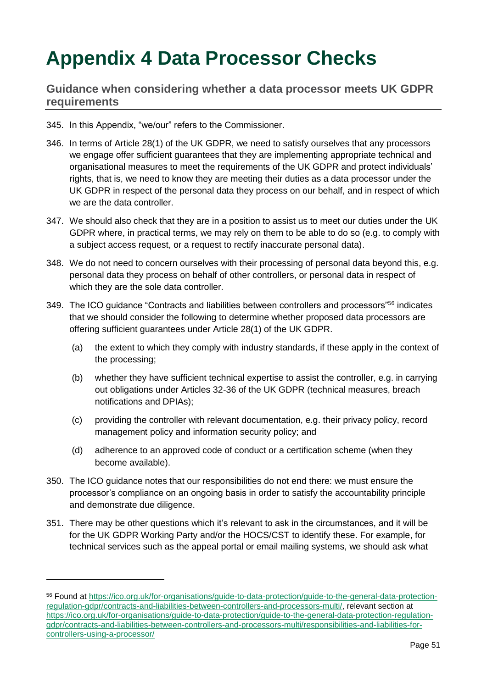## <span id="page-55-0"></span>**Appendix 4 Data Processor Checks**

## <span id="page-55-1"></span>**Guidance when considering whether a data processor meets UK GDPR requirements**

- 345. In this Appendix, "we/our" refers to the Commissioner.
- 346. In terms of Article 28(1) of the UK GDPR, we need to satisfy ourselves that any processors we engage offer sufficient guarantees that they are implementing appropriate technical and organisational measures to meet the requirements of the UK GDPR and protect individuals' rights, that is, we need to know they are meeting their duties as a data processor under the UK GDPR in respect of the personal data they process on our behalf, and in respect of which we are the data controller.
- 347. We should also check that they are in a position to assist us to meet our duties under the UK GDPR where, in practical terms, we may rely on them to be able to do so (e.g. to comply with a subject access request, or a request to rectify inaccurate personal data).
- 348. We do not need to concern ourselves with their processing of personal data beyond this, e.g. personal data they process on behalf of other controllers, or personal data in respect of which they are the sole data controller.
- 349. The ICO guidance "Contracts and liabilities between controllers and processors"<sup>56</sup> indicates that we should consider the following to determine whether proposed data processors are offering sufficient guarantees under Article 28(1) of the UK GDPR.
	- (a) the extent to which they comply with industry standards, if these apply in the context of the processing;
	- (b) whether they have sufficient technical expertise to assist the controller, e.g. in carrying out obligations under Articles 32-36 of the UK GDPR (technical measures, breach notifications and DPIAs);
	- (c) providing the controller with relevant documentation, e.g. their privacy policy, record management policy and information security policy; and
	- (d) adherence to an approved code of conduct or a certification scheme (when they become available).
- 350. The ICO guidance notes that our responsibilities do not end there: we must ensure the processor's compliance on an ongoing basis in order to satisfy the accountability principle and demonstrate due diligence.
- 351. There may be other questions which it's relevant to ask in the circumstances, and it will be for the UK GDPR Working Party and/or the HOCS/CST to identify these. For example, for technical services such as the appeal portal or email mailing systems, we should ask what

<sup>56</sup> Found at [https://ico.org.uk/for-organisations/guide-to-data-protection/guide-to-the-general-data-protection](https://ico.org.uk/for-organisations/guide-to-data-protection/guide-to-the-general-data-protection-regulation-gdpr/contracts-and-liabilities-between-controllers-and-processors-multi/)[regulation-gdpr/contracts-and-liabilities-between-controllers-and-processors-multi/,](https://ico.org.uk/for-organisations/guide-to-data-protection/guide-to-the-general-data-protection-regulation-gdpr/contracts-and-liabilities-between-controllers-and-processors-multi/) relevant section at [https://ico.org.uk/for-organisations/guide-to-data-protection/guide-to-the-general-data-protection-regulation](https://ico.org.uk/for-organisations/guide-to-data-protection/guide-to-the-general-data-protection-regulation-gdpr/contracts-and-liabilities-between-controllers-and-processors-multi/responsibilities-and-liabilities-for-controllers-using-a-processor/)[gdpr/contracts-and-liabilities-between-controllers-and-processors-multi/responsibilities-and-liabilities-for](https://ico.org.uk/for-organisations/guide-to-data-protection/guide-to-the-general-data-protection-regulation-gdpr/contracts-and-liabilities-between-controllers-and-processors-multi/responsibilities-and-liabilities-for-controllers-using-a-processor/)[controllers-using-a-processor/](https://ico.org.uk/for-organisations/guide-to-data-protection/guide-to-the-general-data-protection-regulation-gdpr/contracts-and-liabilities-between-controllers-and-processors-multi/responsibilities-and-liabilities-for-controllers-using-a-processor/)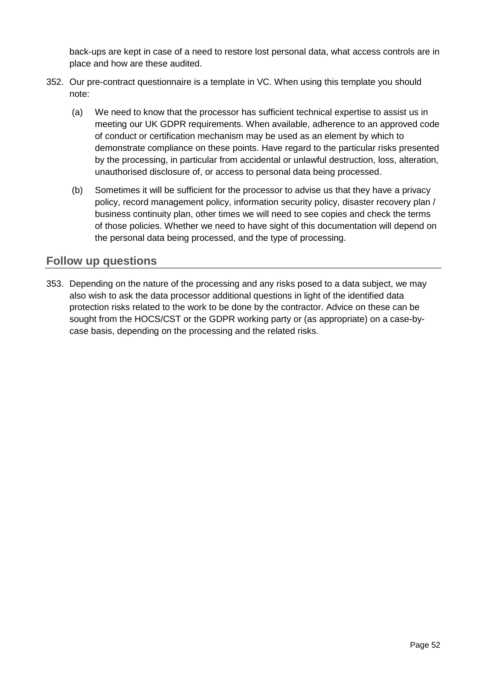back-ups are kept in case of a need to restore lost personal data, what access controls are in place and how are these audited.

- 352. Our pre-contract questionnaire is a template in VC. When using this template you should note:
	- (a) We need to know that the processor has sufficient technical expertise to assist us in meeting our UK GDPR requirements. When available, adherence to an approved code of conduct or certification mechanism may be used as an element by which to demonstrate compliance on these points. Have regard to the particular risks presented by the processing, in particular from accidental or unlawful destruction, loss, alteration, unauthorised disclosure of, or access to personal data being processed.
	- (b) Sometimes it will be sufficient for the processor to advise us that they have a privacy policy, record management policy, information security policy, disaster recovery plan / business continuity plan, other times we will need to see copies and check the terms of those policies. Whether we need to have sight of this documentation will depend on the personal data being processed, and the type of processing.

## <span id="page-56-0"></span>**Follow up questions**

353. Depending on the nature of the processing and any risks posed to a data subject, we may also wish to ask the data processor additional questions in light of the identified data protection risks related to the work to be done by the contractor. Advice on these can be sought from the HOCS/CST or the GDPR working party or (as appropriate) on a case-bycase basis, depending on the processing and the related risks.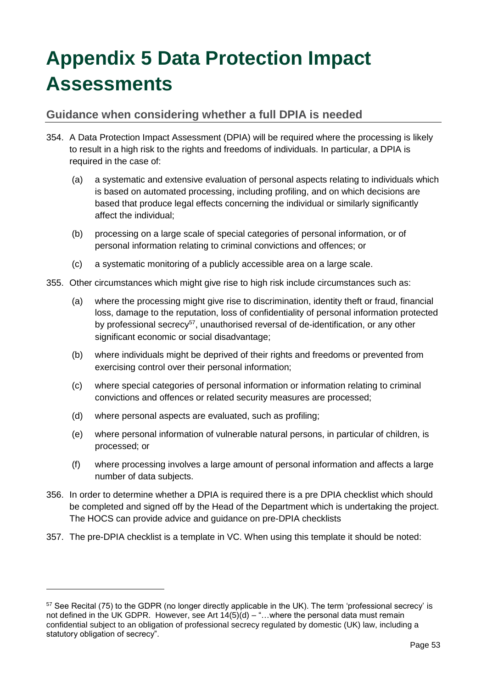## <span id="page-57-0"></span>**Appendix 5 Data Protection Impact Assessments**

## <span id="page-57-1"></span>**Guidance when considering whether a full DPIA is needed**

- 354. A Data Protection Impact Assessment (DPIA) will be required where the processing is likely to result in a high risk to the rights and freedoms of individuals. In particular, a DPIA is required in the case of:
	- (a) a systematic and extensive evaluation of personal aspects relating to individuals which is based on automated processing, including profiling, and on which decisions are based that produce legal effects concerning the individual or similarly significantly affect the individual;
	- (b) processing on a large scale of special categories of personal information, or of personal information relating to criminal convictions and offences; or
	- (c) a systematic monitoring of a publicly accessible area on a large scale.
- 355. Other circumstances which might give rise to high risk include circumstances such as:
	- (a) where the processing might give rise to discrimination, identity theft or fraud, financial loss, damage to the reputation, loss of confidentiality of personal information protected by professional secrecy<sup>57</sup>, unauthorised reversal of de-identification, or any other significant economic or social disadvantage;
	- (b) where individuals might be deprived of their rights and freedoms or prevented from exercising control over their personal information;
	- (c) where special categories of personal information or information relating to criminal convictions and offences or related security measures are processed;
	- (d) where personal aspects are evaluated, such as profiling;

- (e) where personal information of vulnerable natural persons, in particular of children, is processed; or
- (f) where processing involves a large amount of personal information and affects a large number of data subjects.
- 356. In order to determine whether a DPIA is required there is a pre DPIA checklist which should be completed and signed off by the Head of the Department which is undertaking the project. The HOCS can provide advice and guidance on pre-DPIA checklists
- 357. The pre-DPIA checklist is a template in VC. When using this template it should be noted:

<sup>57</sup> See Recital (75) to the GDPR (no longer directly applicable in the UK). The term 'professional secrecy' is not defined in the UK GDPR. However, see Art  $14(5)(d) -$ "...where the personal data must remain confidential subject to an obligation of professional secrecy regulated by domestic (UK) law, including a statutory obligation of secrecy".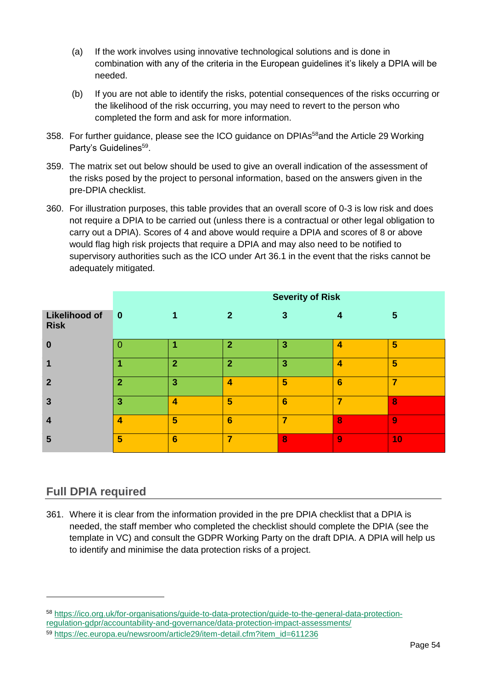- (a) If the work involves using innovative technological solutions and is done in combination with any of the criteria in the European guidelines it's likely a DPIA will be needed.
- (b) If you are not able to identify the risks, potential consequences of the risks occurring or the likelihood of the risk occurring, you may need to revert to the person who completed the form and ask for more information.
- 358. For further guidance, please see the ICO guidance on DPIAs<sup>58</sup> and the Article 29 Working Party's Guidelines<sup>59</sup>.
- 359. The matrix set out below should be used to give an overall indication of the assessment of the risks posed by the project to personal information, based on the answers given in the pre-DPIA checklist.
- 360. For illustration purposes, this table provides that an overall score of 0-3 is low risk and does not require a DPIA to be carried out (unless there is a contractual or other legal obligation to carry out a DPIA). Scores of 4 and above would require a DPIA and scores of 8 or above would flag high risk projects that require a DPIA and may also need to be notified to supervisory authorities such as the ICO under Art 36.1 in the event that the risks cannot be adequately mitigated.

|                                     | <b>Severity of Risk</b> |                 |                         |                 |                  |    |
|-------------------------------------|-------------------------|-----------------|-------------------------|-----------------|------------------|----|
| <b>Likelihood of</b><br><b>Risk</b> | $\vert$ 0               | 1               | $\mathbf{2}$            | $\mathbf{3}$    | $\boldsymbol{4}$ | 5  |
| $\bf{0}$                            |                         |                 | $\overline{2}$          | 3               | 4                | 5  |
| 1                                   |                         | $\overline{2}$  | $\overline{2}$          | 3               | 4                | 5  |
| $\overline{2}$                      |                         | $\overline{3}$  | $\overline{\mathbf{4}}$ | 5               | $6\phantom{1}6$  | 7  |
| $\overline{3}$                      | 3                       | 4               | 5                       | $6\phantom{1}6$ | 7                | 8  |
| $\overline{4}$                      | 4                       | 5               | $6\phantom{1}6$         | 7               | 8                | 9  |
| 5                                   | 5                       | $6\phantom{1}6$ | $\overline{\mathbf{z}}$ | 8               | 9                | 10 |

## <span id="page-58-0"></span>**Full DPIA required**

-

361. Where it is clear from the information provided in the pre DPIA checklist that a DPIA is needed, the staff member who completed the checklist should complete the DPIA (see the template in VC) and consult the GDPR Working Party on the draft DPIA. A DPIA will help us to identify and minimise the data protection risks of a project.

<sup>58</sup> [https://ico.org.uk/for-organisations/guide-to-data-protection/guide-to-the-general-data-protection-](https://ico.org.uk/for-organisations/guide-to-data-protection/guide-to-the-general-data-protection-regulation-gdpr/accountability-and-governance/data-protection-impact-assessments/)

[regulation-gdpr/accountability-and-governance/data-protection-impact-assessments/](https://ico.org.uk/for-organisations/guide-to-data-protection/guide-to-the-general-data-protection-regulation-gdpr/accountability-and-governance/data-protection-impact-assessments/)

<sup>59</sup> [https://ec.europa.eu/newsroom/article29/item-detail.cfm?item\\_id=611236](https://ec.europa.eu/newsroom/article29/item-detail.cfm?item_id=611236)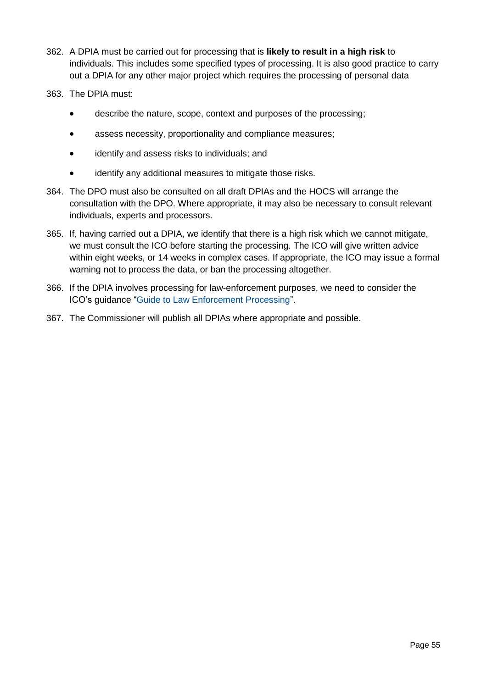- 362. A DPIA must be carried out for processing that is **likely to result in a high risk** to individuals. This includes some specified types of processing. It is also good practice to carry out a DPIA for any other major project which requires the processing of personal data
- 363. The DPIA must:
	- describe the nature, scope, context and purposes of the processing;
	- assess necessity, proportionality and compliance measures;
	- identify and assess risks to individuals; and
	- identify any additional measures to mitigate those risks.
- 364. The DPO must also be consulted on all draft DPIAs and the HOCS will arrange the consultation with the DPO. Where appropriate, it may also be necessary to consult relevant individuals, experts and processors.
- 365. If, having carried out a DPIA, we identify that there is a high risk which we cannot mitigate, we must consult the ICO before starting the processing. The ICO will give written advice within eight weeks, or 14 weeks in complex cases. If appropriate, the ICO may issue a formal warning not to process the data, or ban the processing altogether.
- 366. If the DPIA involves processing for law-enforcement purposes, we need to consider the ICO's guidance ["Guide to Law Enforcement Processing"](https://ico.org.uk/for-organisations/guide-to-data-protection/guide-to-law-enforcement-processing/).
- 367. The Commissioner will publish all DPIAs where appropriate and possible.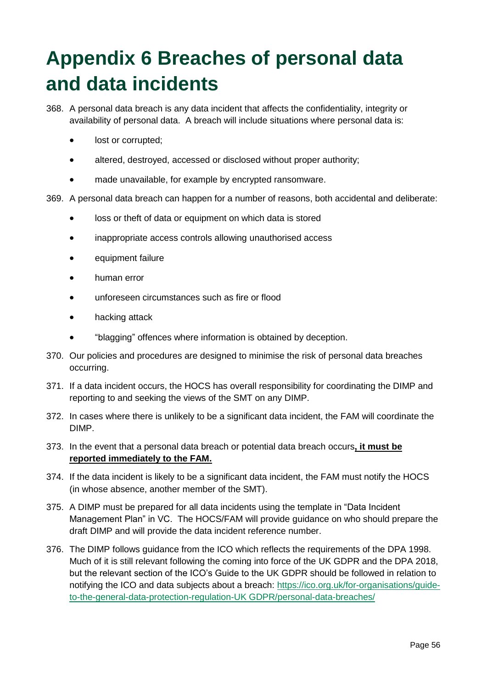## <span id="page-60-0"></span>**Appendix 6 Breaches of personal data and data incidents**

- 368. A personal data breach is any data incident that affects the confidentiality, integrity or availability of personal data. A breach will include situations where personal data is:
	- lost or corrupted:
	- altered, destroyed, accessed or disclosed without proper authority;
	- made unavailable, for example by encrypted ransomware.
- 369. A personal data breach can happen for a number of reasons, both accidental and deliberate:
	- loss or theft of data or equipment on which data is stored
	- inappropriate access controls allowing unauthorised access
	- equipment failure
	- human error
	- unforeseen circumstances such as fire or flood
	- hacking attack
	- "blagging" offences where information is obtained by deception.
- 370. Our policies and procedures are designed to minimise the risk of personal data breaches occurring.
- 371. If a data incident occurs, the HOCS has overall responsibility for coordinating the DIMP and reporting to and seeking the views of the SMT on any DIMP.
- 372. In cases where there is unlikely to be a significant data incident, the FAM will coordinate the DIMP.
- 373. In the event that a personal data breach or potential data breach occurs**, it must be reported immediately to the FAM.**
- 374. If the data incident is likely to be a significant data incident, the FAM must notify the HOCS (in whose absence, another member of the SMT).
- 375. A DIMP must be prepared for all data incidents using the template in "Data Incident Management Plan" in VC. The HOCS/FAM will provide guidance on who should prepare the draft DIMP and will provide the data incident reference number.
- 376. The DIMP follows guidance from the ICO which reflects the requirements of the DPA 1998. Much of it is still relevant following the coming into force of the UK GDPR and the DPA 2018, but the relevant section of the ICO's Guide to the UK GDPR should be followed in relation to notifying the ICO and data subjects about a breach: [https://ico.org.uk/for-organisations/guide](https://ico.org.uk/for-organisations/guide-to-the-general-data-protection-regulation-gdpr/personal-data-breaches/)[to-the-general-data-protection-regulation-UK GDPR/personal-data-breaches/](https://ico.org.uk/for-organisations/guide-to-the-general-data-protection-regulation-gdpr/personal-data-breaches/)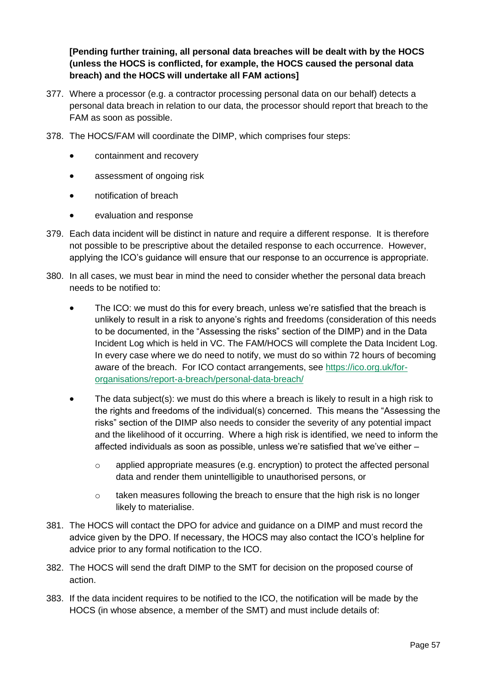**[Pending further training, all personal data breaches will be dealt with by the HOCS (unless the HOCS is conflicted, for example, the HOCS caused the personal data breach) and the HOCS will undertake all FAM actions]**

- 377. Where a processor (e.g. a contractor processing personal data on our behalf) detects a personal data breach in relation to our data, the processor should report that breach to the FAM as soon as possible.
- 378. The HOCS/FAM will coordinate the DIMP, which comprises four steps:
	- containment and recovery
	- assessment of ongoing risk
	- notification of breach
	- evaluation and response
- 379. Each data incident will be distinct in nature and require a different response. It is therefore not possible to be prescriptive about the detailed response to each occurrence. However, applying the ICO's guidance will ensure that our response to an occurrence is appropriate.
- 380. In all cases, we must bear in mind the need to consider whether the personal data breach needs to be notified to:
	- The ICO: we must do this for every breach, unless we're satisfied that the breach is unlikely to result in a risk to anyone's rights and freedoms (consideration of this needs to be documented, in the "Assessing the risks" section of the DIMP) and in the Data Incident Log which is held in VC. The FAM/HOCS will complete the Data Incident Log. In every case where we do need to notify, we must do so within 72 hours of becoming aware of the breach. For ICO contact arrangements, see [https://ico.org.uk/for](https://ico.org.uk/for-organisations/report-a-breach/personal-data-breach/)[organisations/report-a-breach/personal-data-breach/](https://ico.org.uk/for-organisations/report-a-breach/personal-data-breach/)
	- The data subject(s): we must do this where a breach is likely to result in a high risk to the rights and freedoms of the individual(s) concerned. This means the "Assessing the risks" section of the DIMP also needs to consider the severity of any potential impact and the likelihood of it occurring. Where a high risk is identified, we need to inform the affected individuals as soon as possible, unless we're satisfied that we've either –
		- o applied appropriate measures (e.g. encryption) to protect the affected personal data and render them unintelligible to unauthorised persons, or
		- o taken measures following the breach to ensure that the high risk is no longer likely to materialise.
- 381. The HOCS will contact the DPO for advice and guidance on a DIMP and must record the advice given by the DPO. If necessary, the HOCS may also contact the ICO's helpline for advice prior to any formal notification to the ICO.
- 382. The HOCS will send the draft DIMP to the SMT for decision on the proposed course of action.
- 383. If the data incident requires to be notified to the ICO, the notification will be made by the HOCS (in whose absence, a member of the SMT) and must include details of: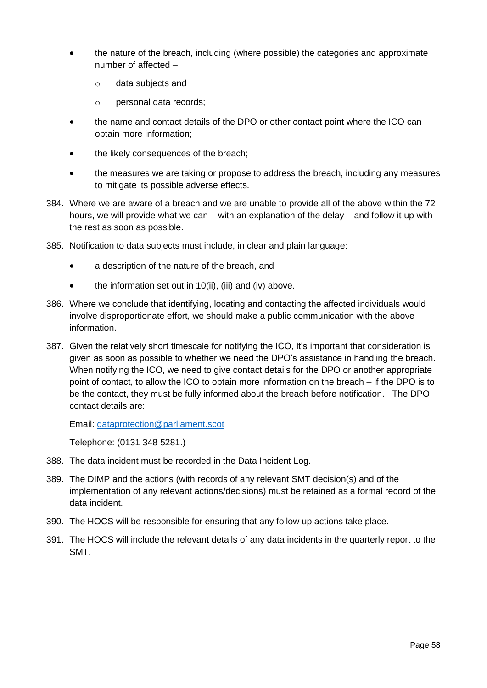- the nature of the breach, including (where possible) the categories and approximate number of affected –
	- o data subjects and
	- o personal data records;
- the name and contact details of the DPO or other contact point where the ICO can obtain more information;
- the likely consequences of the breach;
- the measures we are taking or propose to address the breach, including any measures to mitigate its possible adverse effects.
- 384. Where we are aware of a breach and we are unable to provide all of the above within the 72 hours, we will provide what we can – with an explanation of the delay – and follow it up with the rest as soon as possible.
- 385. Notification to data subjects must include, in clear and plain language:
	- a description of the nature of the breach, and
	- the information set out in  $10(ii)$ , (iii) and (iv) above.
- 386. Where we conclude that identifying, locating and contacting the affected individuals would involve disproportionate effort, we should make a public communication with the above information.
- 387. Given the relatively short timescale for notifying the ICO, it's important that consideration is given as soon as possible to whether we need the DPO's assistance in handling the breach. When notifying the ICO, we need to give contact details for the DPO or another appropriate point of contact, to allow the ICO to obtain more information on the breach – if the DPO is to be the contact, they must be fully informed about the breach before notification. The DPO contact details are:

Email: [dataprotection@parliament.scot](mailto:dataprotection@parliament.scot)

Telephone: (0131 348 5281.)

- 388. The data incident must be recorded in the Data Incident Log.
- 389. The DIMP and the actions (with records of any relevant SMT decision(s) and of the implementation of any relevant actions/decisions) must be retained as a formal record of the data incident.
- 390. The HOCS will be responsible for ensuring that any follow up actions take place.
- 391. The HOCS will include the relevant details of any data incidents in the quarterly report to the SMT.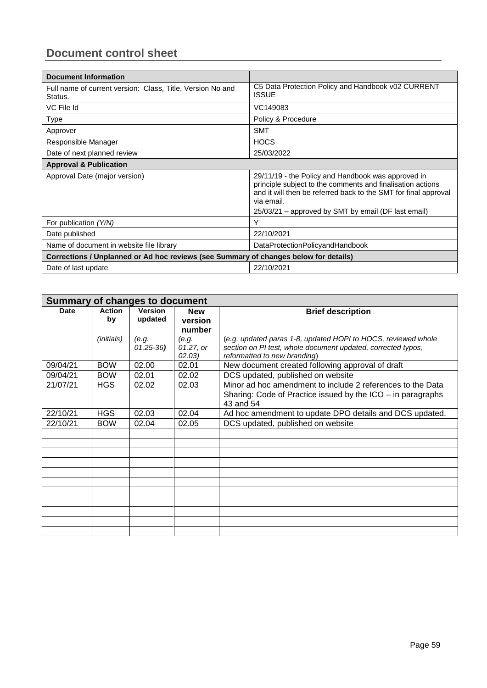## <span id="page-63-0"></span>**Document control sheet**

| <b>Document Information</b>                                                          |                                                                                                                                                                                                                                                          |  |  |
|--------------------------------------------------------------------------------------|----------------------------------------------------------------------------------------------------------------------------------------------------------------------------------------------------------------------------------------------------------|--|--|
| Full name of current version: Class, Title, Version No and<br>Status.                | C5 Data Protection Policy and Handbook v02 CURRENT<br><b>ISSUE</b>                                                                                                                                                                                       |  |  |
| VC File Id                                                                           | VC149083                                                                                                                                                                                                                                                 |  |  |
| Type                                                                                 | Policy & Procedure                                                                                                                                                                                                                                       |  |  |
| Approver                                                                             | <b>SMT</b>                                                                                                                                                                                                                                               |  |  |
| Responsible Manager                                                                  | <b>HOCS</b>                                                                                                                                                                                                                                              |  |  |
| Date of next planned review                                                          | 25/03/2022                                                                                                                                                                                                                                               |  |  |
| <b>Approval &amp; Publication</b>                                                    |                                                                                                                                                                                                                                                          |  |  |
| Approval Date (major version)                                                        | 29/11/19 - the Policy and Handbook was approved in<br>principle subject to the comments and finalisation actions<br>and it will then be referred back to the SMT for final approval<br>via email.<br>25/03/21 – approved by SMT by email (DF last email) |  |  |
| For publication (Y/N)                                                                | Υ                                                                                                                                                                                                                                                        |  |  |
| Date published                                                                       | 22/10/2021                                                                                                                                                                                                                                               |  |  |
| Name of document in website file library                                             | DataProtectionPolicyandHandbook                                                                                                                                                                                                                          |  |  |
| Corrections / Unplanned or Ad hoc reviews (see Summary of changes below for details) |                                                                                                                                                                                                                                                          |  |  |
| Date of last update                                                                  | 22/10/2021                                                                                                                                                                                                                                               |  |  |

| <b>Summary of changes to document</b> |                     |                           |                                 |                                                                                                                                                               |
|---------------------------------------|---------------------|---------------------------|---------------------------------|---------------------------------------------------------------------------------------------------------------------------------------------------------------|
| <b>Date</b>                           | <b>Action</b><br>bv | <b>Version</b><br>updated | <b>New</b><br>version<br>number | <b>Brief description</b>                                                                                                                                      |
|                                       | (initials)          | (e.g.<br>$01.25 - 36$     | (e.g.<br>01.27, or<br>02.03)    | (e.g. updated paras 1-8, updated HOPI to HOCS, reviewed whole<br>section on PI test, whole document updated, corrected typos,<br>reformatted to new branding) |
| 09/04/21                              | <b>BOW</b>          | 02.00                     | 02.01                           | New document created following approval of draft                                                                                                              |
| 09/04/21                              | <b>BOW</b>          | 02.01                     | 02.02                           | DCS updated, published on website                                                                                                                             |
| 21/07/21                              | <b>HGS</b>          | 02.02                     | 02.03                           | Minor ad hoc amendment to include 2 references to the Data<br>Sharing: Code of Practice issued by the ICO – in paragraphs<br>43 and 54                        |
| 22/10/21                              | <b>HGS</b>          | 02.03                     | 02.04                           | Ad hoc amendment to update DPO details and DCS updated.                                                                                                       |
| 22/10/21                              | <b>BOW</b>          | 02.04                     | 02.05                           | DCS updated, published on website                                                                                                                             |
|                                       |                     |                           |                                 |                                                                                                                                                               |
|                                       |                     |                           |                                 |                                                                                                                                                               |
|                                       |                     |                           |                                 |                                                                                                                                                               |
|                                       |                     |                           |                                 |                                                                                                                                                               |
|                                       |                     |                           |                                 |                                                                                                                                                               |
|                                       |                     |                           |                                 |                                                                                                                                                               |
|                                       |                     |                           |                                 |                                                                                                                                                               |
|                                       |                     |                           |                                 |                                                                                                                                                               |
|                                       |                     |                           |                                 |                                                                                                                                                               |
|                                       |                     |                           |                                 |                                                                                                                                                               |
|                                       |                     |                           |                                 |                                                                                                                                                               |